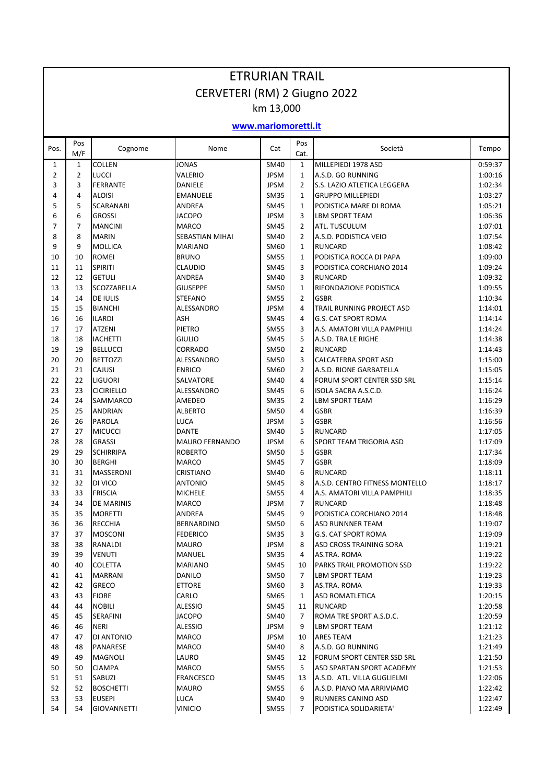| <b>ETRURIAN TRAIL</b>        |                     |                                 |                           |                            |                |                                                  |                    |  |  |  |  |  |  |
|------------------------------|---------------------|---------------------------------|---------------------------|----------------------------|----------------|--------------------------------------------------|--------------------|--|--|--|--|--|--|
| CERVETERI (RM) 2 Giugno 2022 |                     |                                 |                           |                            |                |                                                  |                    |  |  |  |  |  |  |
| km 13,000                    |                     |                                 |                           |                            |                |                                                  |                    |  |  |  |  |  |  |
| www.mariomoretti.it          |                     |                                 |                           |                            |                |                                                  |                    |  |  |  |  |  |  |
| Pos.                         | Pos                 | Cognome                         | Nome                      | Cat                        | Pos            | Società                                          | Tempo              |  |  |  |  |  |  |
|                              | M/F                 |                                 |                           |                            | Cat.           |                                                  |                    |  |  |  |  |  |  |
| 1<br>$\overline{2}$          | 1<br>$\overline{2}$ | <b>COLLEN</b>                   | <b>JONAS</b>              | <b>SM40</b>                | 1<br>1         | MILLEPIEDI 1978 ASD                              | 0:59:37            |  |  |  |  |  |  |
| 3                            | 3                   | <b>LUCCI</b><br><b>FERRANTE</b> | VALERIO<br><b>DANIELE</b> | <b>JPSM</b><br><b>JPSM</b> | $\overline{2}$ | A.S.D. GO RUNNING<br>S.S. LAZIO ATLETICA LEGGERA | 1:00:16<br>1:02:34 |  |  |  |  |  |  |
| 4                            | 4                   | <b>ALOISI</b>                   | <b>EMANUELE</b>           | <b>SM35</b>                | $\mathbf{1}$   | <b>GRUPPO MILLEPIEDI</b>                         | 1:03:27            |  |  |  |  |  |  |
| 5                            | 5                   | <b>SCARANARI</b>                | <b>ANDREA</b>             | <b>SM45</b>                | $\mathbf{1}$   | PODISTICA MARE DI ROMA                           | 1:05:21            |  |  |  |  |  |  |
| 6                            | 6                   | <b>GROSSI</b>                   | <b>JACOPO</b>             | <b>JPSM</b>                | 3              | LBM SPORT TEAM                                   | 1:06:36            |  |  |  |  |  |  |
| 7                            | $\overline{7}$      | <b>MANCINI</b>                  | <b>MARCO</b>              | <b>SM45</b>                | 2              | ATL. TUSCULUM                                    | 1:07:01            |  |  |  |  |  |  |
| 8                            | 8                   | <b>MARIN</b>                    | SEBASTIAN MIHAI           | SM40                       | $\overline{2}$ | A.S.D. PODISTICA VEIO                            | 1:07:54            |  |  |  |  |  |  |
| 9                            | 9                   | <b>MOLLICA</b>                  | <b>MARIANO</b>            | SM60                       | $\mathbf{1}$   | <b>RUNCARD</b>                                   | 1:08:42            |  |  |  |  |  |  |
| 10                           | 10                  | <b>ROMEI</b>                    | <b>BRUNO</b>              | <b>SM55</b>                | $\mathbf{1}$   | PODISTICA ROCCA DI PAPA                          | 1:09:00            |  |  |  |  |  |  |
| 11                           | 11                  | <b>SPIRITI</b>                  | <b>CLAUDIO</b>            | <b>SM45</b>                | 3              | PODISTICA CORCHIANO 2014                         | 1:09:24            |  |  |  |  |  |  |
| 12                           | 12                  | <b>GETULI</b>                   | ANDREA                    | SM40                       | 3              | <b>RUNCARD</b>                                   | 1:09:32            |  |  |  |  |  |  |
| 13                           | 13                  | SCOZZARELLA                     | <b>GIUSEPPE</b>           | <b>SM50</b>                | $\mathbf{1}$   | RIFONDAZIONE PODISTICA                           | 1:09:55            |  |  |  |  |  |  |
| 14                           | 14                  | <b>DE IULIS</b>                 | <b>STEFANO</b>            | <b>SM55</b>                | $\overline{2}$ | <b>GSBR</b>                                      | 1:10:34            |  |  |  |  |  |  |
| 15                           | 15                  | <b>BIANCHI</b>                  | ALESSANDRO                | <b>JPSM</b>                | 4              | TRAIL RUNNING PROJECT ASD                        | 1:14:01            |  |  |  |  |  |  |
| 16                           | 16                  | <b>ILARDI</b>                   | ASH                       | <b>SM45</b>                | 4              | <b>G.S. CAT SPORT ROMA</b>                       | 1:14:14            |  |  |  |  |  |  |
| 17                           | 17                  | <b>ATZENI</b>                   | <b>PIETRO</b>             | <b>SM55</b>                | 3              | A.S. AMATORI VILLA PAMPHILI                      | 1:14:24            |  |  |  |  |  |  |
| 18                           | 18                  | <b>IACHETTI</b>                 | <b>GIULIO</b>             | <b>SM45</b>                | 5              | A.S.D. TRA LE RIGHE                              | 1:14:38            |  |  |  |  |  |  |
| 19                           | 19                  | <b>BELLUCCI</b>                 | <b>CORRADO</b>            | SM50                       | $\overline{2}$ | <b>RUNCARD</b>                                   | 1:14:43            |  |  |  |  |  |  |
| 20                           | 20                  | <b>BETTOZZI</b>                 | ALESSANDRO                | <b>SM50</b>                | 3              | CALCATERRA SPORT ASD                             | 1:15:00            |  |  |  |  |  |  |
| 21                           | 21                  | <b>CAJUSI</b>                   | <b>ENRICO</b>             | SM60                       | $\overline{2}$ | A.S.D. RIONE GARBATELLA                          | 1:15:05            |  |  |  |  |  |  |
| 22                           | 22                  | <b>LIGUORI</b>                  | SALVATORE                 | SM40                       | 4              | <b>FORUM SPORT CENTER SSD SRL</b>                | 1:15:14            |  |  |  |  |  |  |
| 23                           | 23                  | <b>CICIRIELLO</b>               | ALESSANDRO                | <b>SM45</b>                | 6              | ISOLA SACRA A.S.C.D.                             | 1:16:24            |  |  |  |  |  |  |
| 24                           | 24                  | SAMMARCO                        | AMEDEO                    | <b>SM35</b>                | 2              | LBM SPORT TEAM                                   | 1:16:29            |  |  |  |  |  |  |
| 25                           | 25                  | <b>ANDRIAN</b>                  | <b>ALBERTO</b>            | SM50                       | 4              | <b>GSBR</b>                                      | 1:16:39            |  |  |  |  |  |  |
| 26                           | 26                  | <b>PAROLA</b>                   | LUCA                      | <b>JPSM</b>                | 5              | <b>GSBR</b>                                      | 1:16:56            |  |  |  |  |  |  |
| 27                           | 27                  | <b>MICUCCI</b>                  | <b>DANTE</b>              | SM40                       | 5              | <b>RUNCARD</b>                                   | 1:17:05            |  |  |  |  |  |  |
| 28                           | 28                  | <b>GRASSI</b>                   | <b>MAURO FERNANDO</b>     | <b>JPSM</b>                | 6              | SPORT TEAM TRIGORIA ASD                          | 1:17:09            |  |  |  |  |  |  |
| 29                           | 29                  | <b>SCHIRRIPA</b>                | <b>ROBERTO</b>            | SM50                       | 5              | <b>GSBR</b>                                      | 1:17:34            |  |  |  |  |  |  |
| 30                           | 30                  | <b>BERGHI</b>                   | <b>MARCO</b>              | <b>SM45</b>                | $\overline{7}$ | <b>GSBR</b>                                      | 1:18:09            |  |  |  |  |  |  |
| 31                           | 31                  | MASSERONI                       | <b>CRISTIANO</b>          | SM40                       | 6              | <b>RUNCARD</b>                                   | 1:18:11            |  |  |  |  |  |  |
| 32                           | 32                  | DI VICO                         | <b>ANTONIO</b>            | SM45                       | 8              | A.S.D. CENTRO FITNESS MONTELLO                   | 1:18:17            |  |  |  |  |  |  |
| 33                           | 33                  | <b>FRISCIA</b>                  | <b>MICHELE</b>            | <b>SM55</b>                | 4              | A.S. AMATORI VILLA PAMPHILI                      | 1:18:35            |  |  |  |  |  |  |
| 34                           | 34                  | DE MARINIS                      | MARCO                     | JPSM                       | 7              | RUNCARD                                          | 1:18:48            |  |  |  |  |  |  |
| 35                           | 35                  | <b>MORETTI</b>                  | ANDREA                    | SM45                       | 9              | PODISTICA CORCHIANO 2014                         | 1:18:48            |  |  |  |  |  |  |
| 36                           | 36                  | RECCHIA                         | <b>BERNARDINO</b>         | SM50                       | 6              | ASD RUNNNER TEAM                                 | 1:19:07            |  |  |  |  |  |  |
| 37                           | 37                  | <b>MOSCONI</b>                  | <b>FEDERICO</b>           | SM35                       | 3              | G.S. CAT SPORT ROMA                              | 1:19:09            |  |  |  |  |  |  |
| 38                           | 38                  | RANALDI                         | <b>MAURO</b>              | JPSM                       | 8              | ASD CROSS TRAINING SORA                          | 1:19:21            |  |  |  |  |  |  |
| 39                           | 39                  | <b>VENUTI</b>                   | MANUEL                    | SM35                       | 4              | AS.TRA. ROMA                                     | 1:19:22            |  |  |  |  |  |  |
| 40                           | 40                  | COLETTA                         | <b>MARIANO</b>            | SM45                       | 10             | PARKS TRAIL PROMOTION SSD                        | 1:19:22            |  |  |  |  |  |  |
| 41                           | 41                  | <b>MARRANI</b>                  | DANILO                    | SM50                       | 7              | <b>LBM SPORT TEAM</b>                            | 1:19:23            |  |  |  |  |  |  |
| 42                           | 42                  | <b>GRECO</b>                    | <b>ETTORE</b>             | SM60                       | 3              | AS.TRA. ROMA                                     | 1:19:33            |  |  |  |  |  |  |
| 43                           | 43                  | <b>FIORE</b>                    | CARLO                     | SM65                       | 1              | ASD ROMATLETICA                                  | 1:20:15            |  |  |  |  |  |  |
| 44                           | 44                  | <b>NOBILI</b>                   | <b>ALESSIO</b>            | SM45                       | 11             | <b>RUNCARD</b>                                   | 1:20:58            |  |  |  |  |  |  |
| 45                           | 45                  | <b>SERAFINI</b>                 | <b>JACOPO</b>             | SM40                       | $\overline{7}$ | ROMA TRE SPORT A.S.D.C.                          | 1:20:59            |  |  |  |  |  |  |
| 46                           | 46                  | <b>NERI</b>                     | <b>ALESSIO</b>            | JPSM                       | 9              | LBM SPORT TEAM                                   | 1:21:12            |  |  |  |  |  |  |
| 47                           | 47                  | DI ANTONIO                      | MARCO                     | JPSM                       | 10             | <b>ARES TEAM</b>                                 | 1:21:23            |  |  |  |  |  |  |
| 48                           | 48                  | PANARESE                        | MARCO                     | SM40                       | 8              | A.S.D. GO RUNNING                                | 1:21:49            |  |  |  |  |  |  |
| 49                           | 49                  | MAGNOLI                         | LAURO                     | SM45                       | 12             | FORUM SPORT CENTER SSD SRL                       | 1:21:50            |  |  |  |  |  |  |
| 50                           | 50                  | <b>CIAMPA</b>                   | MARCO                     | <b>SM55</b>                | 5              | ASD SPARTAN SPORT ACADEMY                        | 1:21:53            |  |  |  |  |  |  |
| 51                           | 51                  | SABUZI                          | <b>FRANCESCO</b>          | SM45                       | 13             | A.S.D. ATL. VILLA GUGLIELMI                      | 1:22:06            |  |  |  |  |  |  |
| 52                           | 52                  | <b>BOSCHETTI</b>                | <b>MAURO</b>              | <b>SM55</b>                | 6              | A.S.D. PIANO MA ARRIVIAMO                        | 1:22:42            |  |  |  |  |  |  |
| 53                           | 53                  | <b>EUSEPI</b>                   | <b>LUCA</b>               | SM40                       | 9              | RUNNERS CANINO ASD                               | 1:22:47            |  |  |  |  |  |  |
| 54                           | 54                  | <b>GIOVANNETTI</b>              | <b>VINICIO</b>            | <b>SM55</b>                | 7              | PODISTICA SOLIDARIETA'                           | 1:22:49            |  |  |  |  |  |  |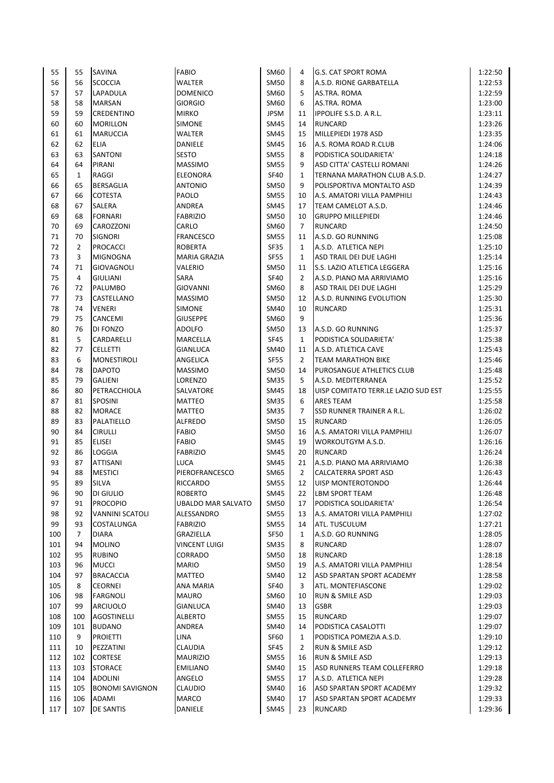| 55  | 55             | <b>SAVINA</b>          | <b>FABIO</b>              | SM60        | 4              | <b>G.S. CAT SPORT ROMA</b>          | 1:22:50 |
|-----|----------------|------------------------|---------------------------|-------------|----------------|-------------------------------------|---------|
| 56  | 56             | <b>SCOCCIA</b>         | <b>WALTER</b>             | <b>SM50</b> | 8              | A.S.D. RIONE GARBATELLA             | 1:22:53 |
| 57  | 57             | LAPADULA               | <b>DOMENICO</b>           | SM60        | 5              | AS.TRA. ROMA                        | 1:22:59 |
| 58  | 58             | <b>MARSAN</b>          | <b>GIORGIO</b>            | SM60        | 6              | AS.TRA. ROMA                        | 1:23:00 |
| 59  | 59             | CREDENTINO             | <b>MIRKO</b>              | <b>JPSM</b> | 11             | <b>IPPOLIFE S.S.D. A R.L.</b>       | 1:23:11 |
| 60  | 60             | <b>MORILLON</b>        | <b>SIMONE</b>             | <b>SM45</b> | 14             | <b>RUNCARD</b>                      | 1:23:26 |
| 61  | 61             | <b>MARUCCIA</b>        | WALTER                    | <b>SM45</b> | 15             | MILLEPIEDI 1978 ASD                 | 1:23:35 |
| 62  | 62             | <b>ELIA</b>            | DANIELE                   | <b>SM45</b> | 16             | A.S. ROMA ROAD R.CLUB               | 1:24:06 |
| 63  | 63             | SANTONI                | <b>SESTO</b>              | <b>SM55</b> | 8              | PODISTICA SOLIDARIETA'              | 1:24:18 |
| 64  | 64             | PIRANI                 | <b>MASSIMO</b>            | <b>SM55</b> | 9              | ASD CITTA' CASTELLI ROMANI          | 1:24:26 |
| 65  | $\mathbf{1}$   | RAGGI                  | <b>ELEONORA</b>           | <b>SF40</b> | $\mathbf{1}$   | TERNANA MARATHON CLUB A.S.D.        | 1:24:27 |
| 66  | 65             | <b>BERSAGLIA</b>       | <b>ANTONIO</b>            | <b>SM50</b> | 9              | POLISPORTIVA MONTALTO ASD           | 1:24:39 |
| 67  | 66             | <b>COTESTA</b>         | PAOLO                     | <b>SM55</b> | 10             | A.S. AMATORI VILLA PAMPHILI         | 1:24:43 |
| 68  | 67             | SALERA                 | ANDREA                    | <b>SM45</b> | 17             | TEAM CAMELOT A.S.D.                 | 1:24:46 |
| 69  | 68             | <b>FORNARI</b>         | <b>FABRIZIO</b>           | <b>SM50</b> | 10             | <b>GRUPPO MILLEPIEDI</b>            | 1:24:46 |
| 70  | 69             | CAROZZONI              | CARLO                     | SM60        | $\overline{7}$ | <b>RUNCARD</b>                      | 1:24:50 |
| 71  | 70             | <b>SIGNORI</b>         | <b>FRANCESCO</b>          | <b>SM55</b> | 11             | A.S.D. GO RUNNING                   | 1:25:08 |
| 72  | $\overline{2}$ | <b>PROCACCI</b>        | <b>ROBERTA</b>            | <b>SF35</b> | $\mathbf{1}$   | A.S.D. ATLETICA NEPI                | 1:25:10 |
| 73  | 3              | <b>MIGNOGNA</b>        | <b>MARIA GRAZIA</b>       | <b>SF55</b> | $\mathbf{1}$   | ASD TRAIL DEI DUE LAGHI             | 1:25:14 |
| 74  | 71             | <b>GIOVAGNOLI</b>      | VALERIO                   | <b>SM50</b> | 11             | S.S. LAZIO ATLETICA LEGGERA         | 1:25:16 |
| 75  | 4              | <b>GIULIANI</b>        | SARA                      | <b>SF40</b> | $\overline{2}$ | A.S.D. PIANO MA ARRIVIAMO           | 1:25:16 |
| 76  | 72             | PALUMBO                | <b>GIOVANNI</b>           | SM60        | 8              | ASD TRAIL DEI DUE LAGHI             | 1:25:29 |
| 77  | 73             | CASTELLANO             | <b>MASSIMO</b>            | <b>SM50</b> | 12             | A.S.D. RUNNING EVOLUTION            | 1:25:30 |
| 78  | 74             | VENERI                 | <b>SIMONE</b>             | SM40        | 10             | <b>RUNCARD</b>                      | 1:25:31 |
| 79  | 75             | CANCEMI                | <b>GIUSEPPE</b>           | SM60        | 9              |                                     | 1:25:36 |
| 80  |                |                        |                           |             |                |                                     |         |
|     | 76             | DI FONZO               | <b>ADOLFO</b>             | <b>SM50</b> | 13             | A.S.D. GO RUNNING                   | 1:25:37 |
| 81  | 5              | CARDARELLI             | MARCELLA                  | <b>SF45</b> | $\mathbf{1}$   | PODISTICA SOLIDARIETA'              | 1:25:38 |
| 82  | 77             | <b>CELLETTI</b>        | <b>GIANLUCA</b>           | <b>SM40</b> | 11             | A.S.D. ATLETICA CAVE                | 1:25:43 |
| 83  | 6              | MONESTIROLI            | ANGELICA                  | <b>SF55</b> | $\overline{2}$ | <b>TEAM MARATHON BIKE</b>           | 1:25:46 |
| 84  | 78             | <b>DAPOTO</b>          | <b>MASSIMO</b>            | <b>SM50</b> | 14             | PUROSANGUE ATHLETICS CLUB           | 1:25:48 |
| 85  | 79             | <b>GALIENI</b>         | LORENZO                   | <b>SM35</b> | 5              | A.S.D. MEDITERRANEA                 | 1:25:52 |
| 86  | 80             | PETRACCHIOLA           | SALVATORE                 | <b>SM45</b> | 18             | UISP COMITATO TERR.LE LAZIO SUD EST | 1:25:55 |
| 87  | 81             | <b>SPOSINI</b>         | <b>MATTEO</b>             | <b>SM35</b> | 6              | ARES TEAM                           | 1:25:58 |
| 88  | 82             | <b>MORACE</b>          | <b>MATTEO</b>             | <b>SM35</b> | $\overline{7}$ | SSD RUNNER TRAINER A R.L.           | 1:26:02 |
| 89  | 83             | PALATIELLO             | <b>ALFREDO</b>            | <b>SM50</b> | 15             | <b>RUNCARD</b>                      | 1:26:05 |
| 90  | 84             | <b>CIRULLI</b>         | <b>FABIO</b>              | <b>SM50</b> | 16             | A.S. AMATORI VILLA PAMPHILI         | 1:26:07 |
| 91  | 85             | ELISEI                 | <b>FABIO</b>              | <b>SM45</b> | 19             | WORKOUTGYM A.S.D.                   | 1:26:16 |
| 92  | 86             | LOGGIA                 | <b>FABRIZIO</b>           | SM45        | 20             | <b>RUNCARD</b>                      | 1:26:24 |
| 93  | 87             | <b>ATTISANI</b>        | <b>LUCA</b>               | <b>SM45</b> | 21             | A.S.D. PIANO MA ARRIVIAMO           | 1:26:38 |
| 94  | 88             | <b>MESTICI</b>         | PIEROFRANCESCO            | SM65        | $\overline{2}$ | <b>CALCATERRA SPORT ASD</b>         | 1:26:43 |
| 95  | 89             | <b>SILVA</b>           | RICCARDO                  | SM55        | 12             | UISP MONTEROTONDO                   | 1:26:44 |
| 96  | 90             | DI GIULIO              | <b>ROBERTO</b>            | <b>SM45</b> | 22             | LBM SPORT TEAM                      | 1:26:48 |
| 97  | 91             | <b>PROCOPIO</b>        | <b>UBALDO MAR SALVATO</b> | <b>SM50</b> | 17             | PODISTICA SOLIDARIETA'              | 1:26:54 |
| 98  | 92             | <b>VANNINI SCATOLI</b> | ALESSANDRO                | <b>SM55</b> | 13             | A.S. AMATORI VILLA PAMPHILI         | 1:27:02 |
| 99  | 93             | COSTALUNGA             | <b>FABRIZIO</b>           | <b>SM55</b> | 14             | ATL. TUSCULUM                       | 1:27:21 |
| 100 | $\overline{7}$ | <b>DIARA</b>           | GRAZIELLA                 | <b>SF50</b> | $\mathbf{1}$   | A.S.D. GO RUNNING                   | 1:28:05 |
| 101 | 94             | <b>MOLINO</b>          | <b>VINCENT LUIGI</b>      | <b>SM35</b> | 8              | RUNCARD                             | 1:28:07 |
| 102 | 95             | <b>RUBINO</b>          | CORRADO                   | <b>SM50</b> | 18             | RUNCARD                             | 1:28:18 |
| 103 | 96             | <b>MUCCI</b>           | <b>MARIO</b>              | SM50        | 19             | A.S. AMATORI VILLA PAMPHILI         | 1:28:54 |
| 104 | 97             | <b>BRACACCIA</b>       | MATTEO                    | SM40        | 12             | ASD SPARTAN SPORT ACADEMY           | 1:28:58 |
| 105 | 8              | <b>CEORNEI</b>         | ANA MARIA                 | <b>SF40</b> | 3              | ATL. MONTEFIASCONE                  | 1:29:02 |
| 106 | 98             | FARGNOLI               | <b>MAURO</b>              | SM60        | 10             | RUN & SMILE ASD                     | 1:29:03 |
| 107 | 99             | <b>ARCIUOLO</b>        | <b>GIANLUCA</b>           | <b>SM40</b> | 13             | <b>GSBR</b>                         | 1:29:03 |
| 108 | 100            | AGOSTINELLI            | ALBERTO                   | <b>SM55</b> | 15             | RUNCARD                             | 1:29:07 |
| 109 | 101            | <b>BUDANO</b>          | ANDREA                    | SM40        | 14             | PODISTICA CASALOTTI                 | 1:29:07 |
| 110 | 9              | <b>PROIETTI</b>        | LINA                      | SF60        | $\mathbf{1}$   | PODISTICA POMEZIA A.S.D.            | 1:29:10 |
| 111 | 10             | PEZZATINI              | <b>CLAUDIA</b>            | SF45        | $\overline{2}$ | RUN & SMILE ASD                     | 1:29:12 |
| 112 | 102            | <b>CORTESE</b>         | <b>MAURIZIO</b>           | <b>SM55</b> | 16             | RUN & SMILE ASD                     | 1:29:13 |
| 113 | 103            | <b>STORACE</b>         | <b>EMILIANO</b>           | SM40        | 15             | ASD RUNNERS TEAM COLLEFERRO         | 1:29:18 |
| 114 | 104            | ADOLINI                | ANGELO                    | <b>SM55</b> | 17             | A.S.D. ATLETICA NEPI                | 1:29:28 |
| 115 | 105            | <b>BONOMI SAVIGNON</b> | <b>CLAUDIO</b>            | SM40        | 16             | ASD SPARTAN SPORT ACADEMY           | 1:29:32 |
| 116 | 106            | ADAMI                  | MARCO                     | SM40        | 17             | ASD SPARTAN SPORT ACADEMY           | 1:29:33 |
| 117 | 107            | <b>DE SANTIS</b>       | DANIELE                   | <b>SM45</b> | 23             | <b>RUNCARD</b>                      | 1:29:36 |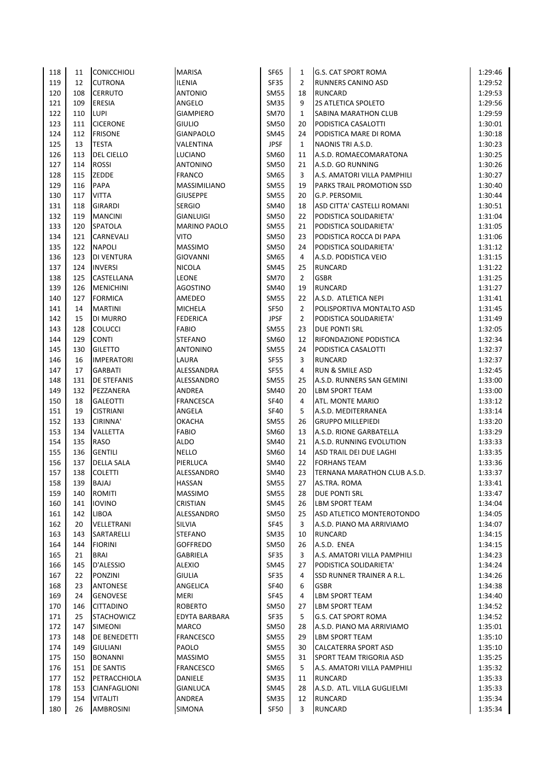| 118 | 11  | <b>CONICCHIOLI</b> | <b>MARISA</b>       | <b>SF65</b> | 1              | <b>G.S. CAT SPORT ROMA</b>   | 1:29:46 |
|-----|-----|--------------------|---------------------|-------------|----------------|------------------------------|---------|
| 119 | 12  | <b>CUTRONA</b>     | <b>ILENIA</b>       | <b>SF35</b> | $\overline{2}$ | RUNNERS CANINO ASD           | 1:29:52 |
| 120 | 108 | <b>CERRUTO</b>     | <b>ANTONIO</b>      | <b>SM55</b> | 18             | <b>RUNCARD</b>               | 1:29:53 |
| 121 | 109 | ERESIA             | ANGELO              | <b>SM35</b> | 9              | 2S ATLETICA SPOLETO          | 1:29:56 |
| 122 | 110 | <b>LUPI</b>        | <b>GIAMPIERO</b>    | <b>SM70</b> | $\mathbf{1}$   | SABINA MARATHON CLUB         | 1:29:59 |
| 123 | 111 | <b>CICERONE</b>    | <b>GIULIO</b>       | <b>SM50</b> | 20             | PODISTICA CASALOTTI          | 1:30:01 |
| 124 | 112 | <b>FRISONE</b>     | <b>GIANPAOLO</b>    | <b>SM45</b> | 24             | PODISTICA MARE DI ROMA       | 1:30:18 |
| 125 | 13  | <b>TESTA</b>       | VALENTINA           | <b>JPSF</b> | $\mathbf{1}$   | NAONIS TRI A.S.D.            | 1:30:23 |
| 126 | 113 | <b>DEL CIELLO</b>  | <b>LUCIANO</b>      | SM60        | 11             | A.S.D. ROMAECOMARATONA       | 1:30:25 |
| 127 | 114 | <b>ROSSI</b>       | <b>ANTONINO</b>     | <b>SM50</b> | 21             | A.S.D. GO RUNNING            | 1:30:26 |
| 128 | 115 | ZEDDE              | <b>FRANCO</b>       | SM65        | 3              | A.S. AMATORI VILLA PAMPHILI  | 1:30:27 |
| 129 | 116 | PAPA               | MASSIMILIANO        | <b>SM55</b> | 19             | PARKS TRAIL PROMOTION SSD    | 1:30:40 |
| 130 | 117 | <b>VITTA</b>       | <b>GIUSEPPE</b>     | <b>SM55</b> | 20             | G.P. PERSOMIL                | 1:30:44 |
| 131 | 118 | <b>GIRARDI</b>     | <b>SERGIO</b>       | <b>SM40</b> | 18             | ASD CITTA' CASTELLI ROMANI   | 1:30:51 |
| 132 | 119 | <b>MANCINI</b>     | GIANLUIGI           | <b>SM50</b> | 22             | PODISTICA SOLIDARIETA'       | 1:31:04 |
| 133 | 120 | SPATOLA            | <b>MARINO PAOLO</b> | <b>SM55</b> | 21             | PODISTICA SOLIDARIETA'       | 1:31:05 |
| 134 | 121 | CARNEVALI          | VITO                | <b>SM50</b> | 23             | PODISTICA ROCCA DI PAPA      | 1:31:06 |
| 135 | 122 | <b>NAPOLI</b>      | <b>MASSIMO</b>      | <b>SM50</b> | 24             | PODISTICA SOLIDARIETA'       | 1:31:12 |
| 136 | 123 | <b>DI VENTURA</b>  | <b>GIOVANNI</b>     | SM65        | 4              | A.S.D. PODISTICA VEIO        | 1:31:15 |
| 137 | 124 | <b>INVERSI</b>     | <b>NICOLA</b>       | <b>SM45</b> | 25             | <b>RUNCARD</b>               | 1:31:22 |
| 138 | 125 | CASTELLANA         | <b>LEONE</b>        | <b>SM70</b> | $\overline{2}$ | GSBR                         | 1:31:25 |
| 139 | 126 | <b>MENICHINI</b>   | <b>AGOSTINO</b>     | SM40        | 19             | <b>RUNCARD</b>               | 1:31:27 |
| 140 | 127 | <b>FORMICA</b>     | AMEDEO              | <b>SM55</b> | 22             | A.S.D. ATLETICA NEPI         | 1:31:41 |
| 141 | 14  | <b>MARTINI</b>     | <b>MICHELA</b>      | <b>SF50</b> | $\overline{2}$ | POLISPORTIVA MONTALTO ASD    | 1:31:45 |
| 142 | 15  | <b>DI MURRO</b>    | <b>FEDERICA</b>     | <b>JPSF</b> | $\overline{2}$ | PODISTICA SOLIDARIETA'       | 1:31:49 |
| 143 | 128 | <b>COLUCCI</b>     | <b>FABIO</b>        | <b>SM55</b> | 23             | <b>DUE PONTI SRL</b>         | 1:32:05 |
| 144 | 129 | <b>CONTI</b>       | <b>STEFANO</b>      | SM60        | 12             | RIFONDAZIONE PODISTICA       | 1:32:34 |
| 145 | 130 | <b>GILETTO</b>     | <b>ANTONINO</b>     | <b>SM55</b> | 24             | PODISTICA CASALOTTI          | 1:32:37 |
| 146 | 16  | <b>IMPERATORI</b>  | LAURA               | <b>SF55</b> | 3              | <b>RUNCARD</b>               | 1:32:37 |
| 147 | 17  | <b>GARBATI</b>     | ALESSANDRA          | <b>SF55</b> | 4              | <b>RUN &amp; SMILE ASD</b>   | 1:32:45 |
| 148 | 131 | <b>DE STEFANIS</b> | ALESSANDRO          | <b>SM55</b> | 25             | A.S.D. RUNNERS SAN GEMINI    | 1:33:00 |
| 149 | 132 | PEZZANERA          | ANDREA              | <b>SM40</b> | 20             | <b>LBM SPORT TEAM</b>        | 1:33:00 |
| 150 | 18  | <b>GALEOTTI</b>    | <b>FRANCESCA</b>    | <b>SF40</b> | 4              | ATL. MONTE MARIO             | 1:33:12 |
| 151 | 19  | <b>CISTRIANI</b>   | ANGELA              | <b>SF40</b> | 5              | A.S.D. MEDITERRANEA          | 1:33:14 |
| 152 | 133 | CIRINNA'           | <b>OKACHA</b>       | <b>SM55</b> | 26             | <b>GRUPPO MILLEPIEDI</b>     | 1:33:20 |
| 153 | 134 | VALLETTA           | <b>FABIO</b>        | SM60        | 13             | A.S.D. RIONE GARBATELLA      | 1:33:29 |
| 154 | 135 | <b>RASO</b>        | ALDO                | <b>SM40</b> | 21             | A.S.D. RUNNING EVOLUTION     | 1:33:33 |
| 155 | 136 | <b>GENTILI</b>     | <b>NELLO</b>        | SM60        | 14             | ASD TRAIL DEI DUE LAGHI      | 1:33:35 |
| 156 | 137 | <b>DELLA SALA</b>  | PIERLUCA            | SM40        | 22             | <b>FORHANS TEAM</b>          | 1:33:36 |
| 157 | 138 | <b>COLETTI</b>     | ALESSANDRO          | <b>SM40</b> | 23             | TERNANA MARATHON CLUB A.S.D. | 1:33:37 |
| 158 | 139 | BAJAJ              | <b>HASSAN</b>       | <b>SM55</b> | 27             | AS.TRA. ROMA                 | 1:33:41 |
| 159 | 140 | <b>ROMITI</b>      | <b>MASSIMO</b>      | <b>SM55</b> | 28             | DUE PONTI SRL                | 1:33:47 |
| 160 | 141 | <b>IOVINO</b>      | CRISTIAN            | <b>SM45</b> | 26             | LBM SPORT TEAM               | 1:34:04 |
| 161 | 142 | <b>LIBOA</b>       | ALESSANDRO          | <b>SM50</b> | 25             | ASD ATLETICO MONTEROTONDO    | 1:34:05 |
| 162 | 20  | VELLETRANI         | SILVIA              | SF45        | 3              | A.S.D. PIANO MA ARRIVIAMO    | 1:34:07 |
| 163 | 143 | SARTARELLI         | <b>STEFANO</b>      | <b>SM35</b> | 10             | <b>RUNCARD</b>               | 1:34:15 |
| 164 | 144 | <b>FIORINI</b>     | <b>GOFFREDO</b>     | <b>SM50</b> | 26             | A.S.D. ENEA                  | 1:34:15 |
| 165 | 21  | <b>BRAI</b>        | GABRIELA            | <b>SF35</b> | 3              | A.S. AMATORI VILLA PAMPHILI  | 1:34:23 |
| 166 | 145 | D'ALESSIO          | <b>ALEXIO</b>       | SM45        | 27             | PODISTICA SOLIDARIETA'       | 1:34:24 |
| 167 | 22  | <b>PONZINI</b>     | <b>GIULIA</b>       | <b>SF35</b> | 4              | SSD RUNNER TRAINER A R.L.    | 1:34:26 |
| 168 | 23  | ANTONESE           | ANGELICA            | <b>SF40</b> | 6              | <b>GSBR</b>                  | 1:34:38 |
| 169 | 24  | <b>GENOVESE</b>    | MERI                | SF45        | 4              | LBM SPORT TEAM               | 1:34:40 |
| 170 | 146 | <b>CITTADINO</b>   | <b>ROBERTO</b>      | SM50        | 27             | LBM SPORT TEAM               | 1:34:52 |
| 171 | 25  | <b>STACHOWICZ</b>  | EDYTA BARBARA       | <b>SF35</b> | 5              | G.S. CAT SPORT ROMA          | 1:34:52 |
| 172 | 147 | <b>SIMEONI</b>     | MARCO               | SM50        | 28             | A.S.D. PIANO MA ARRIVIAMO    | 1:35:01 |
| 173 | 148 | DE BENEDETTI       | <b>FRANCESCO</b>    | <b>SM55</b> | 29             | LBM SPORT TEAM               | 1:35:10 |
| 174 | 149 | GIULIANI           | PAOLO               | <b>SM55</b> | 30             | CALCATERRA SPORT ASD         | 1:35:10 |
| 175 | 150 | <b>BONANNI</b>     | <b>MASSIMO</b>      | <b>SM55</b> | 31             | SPORT TEAM TRIGORIA ASD      | 1:35:25 |
| 176 | 151 | DE SANTIS          | <b>FRANCESCO</b>    | SM65        | 5              | A.S. AMATORI VILLA PAMPHILI  | 1:35:32 |
| 177 | 152 | PETRACCHIOLA       | DANIELE             | SM35        | 11             | RUNCARD                      | 1:35:33 |
| 178 | 153 | CIANFAGLIONI       | GIANLUCA            | SM45        | 28             | A.S.D. ATL. VILLA GUGLIELMI  | 1:35:33 |
| 179 | 154 | VITALITI           | ANDREA              | <b>SM35</b> | 12             | <b>RUNCARD</b>               | 1:35:34 |
| 180 | 26  | <b>AMBROSINI</b>   | SIMONA              | <b>SF50</b> | 3              | RUNCARD                      | 1:35:34 |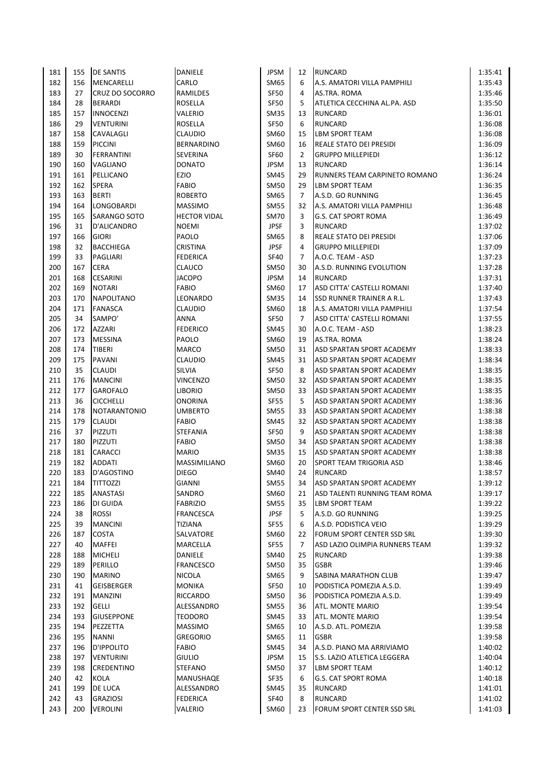| 181 | 155 | <b>DE SANTIS</b>    | DANIELE             | JPSM        | 12             | <b>RUNCARD</b>                       | 1:35:41 |
|-----|-----|---------------------|---------------------|-------------|----------------|--------------------------------------|---------|
| 182 | 156 | MENCARELLI          | CARLO               | SM65        | 6              | A.S. AMATORI VILLA PAMPHILI          | 1:35:43 |
| 183 | 27  | CRUZ DO SOCORRO     | RAMILDES            | <b>SF50</b> | 4              | AS.TRA. ROMA                         | 1:35:46 |
| 184 | 28  | <b>BERARDI</b>      | ROSELLA             | <b>SF50</b> | 5              | ATLETICA CECCHINA AL.PA. ASD         | 1:35:50 |
| 185 | 157 | <b>INNOCENZI</b>    | VALERIO             | <b>SM35</b> | 13             | <b>RUNCARD</b>                       | 1:36:01 |
| 186 | 29  | <b>VENTURINI</b>    | ROSELLA             | <b>SF50</b> | 6              | <b>RUNCARD</b>                       | 1:36:08 |
| 187 | 158 | CAVALAGLI           | <b>CLAUDIO</b>      | SM60        | 15             | <b>LBM SPORT TEAM</b>                | 1:36:08 |
| 188 | 159 | <b>PICCINI</b>      | <b>BERNARDINO</b>   | SM60        | 16             | <b>REALE STATO DEI PRESIDI</b>       | 1:36:09 |
| 189 | 30  | <b>FERRANTINI</b>   | SEVERINA            | <b>SF60</b> | $\overline{2}$ | <b>GRUPPO MILLEPIEDI</b>             | 1:36:12 |
| 190 | 160 | VAGLIANO            | <b>DONATO</b>       | JPSM        | 13             | <b>RUNCARD</b>                       | 1:36:14 |
| 191 | 161 | PELLICANO           | EZIO                | SM45        | 29             | <b>RUNNERS TEAM CARPINETO ROMANO</b> | 1:36:24 |
| 192 | 162 | <b>SPERA</b>        | <b>FABIO</b>        | <b>SM50</b> | 29             | <b>LBM SPORT TEAM</b>                | 1:36:35 |
| 193 | 163 | <b>BERTI</b>        | <b>ROBERTO</b>      | SM65        | $\overline{7}$ | A.S.D. GO RUNNING                    | 1:36:45 |
| 194 | 164 | LONGOBARDI          | <b>MASSIMO</b>      | <b>SM55</b> | 32             | A.S. AMATORI VILLA PAMPHILI          | 1:36:48 |
| 195 | 165 | SARANGO SOTO        | <b>HECTOR VIDAL</b> | <b>SM70</b> | 3              | <b>G.S. CAT SPORT ROMA</b>           | 1:36:49 |
| 196 | 31  | D'ALICANDRO         | <b>NOEMI</b>        | <b>JPSF</b> | 3              | <b>RUNCARD</b>                       | 1:37:02 |
| 197 | 166 | <b>GIORI</b>        | PAOLO               | SM65        | 8              | <b>REALE STATO DEI PRESIDI</b>       | 1:37:06 |
| 198 | 32  | <b>BACCHIEGA</b>    | <b>CRISTINA</b>     | <b>JPSF</b> | 4              | <b>GRUPPO MILLEPIEDI</b>             | 1:37:09 |
| 199 | 33  | <b>PAGLIARI</b>     | <b>FEDERICA</b>     | <b>SF40</b> | $\overline{7}$ | A.O.C. TEAM - ASD                    | 1:37:23 |
| 200 | 167 | <b>CERA</b>         | <b>CLAUCO</b>       | SM50        | 30             | A.S.D. RUNNING EVOLUTION             | 1:37:28 |
| 201 | 168 | <b>CESARINI</b>     | <b>JACOPO</b>       | <b>JPSM</b> | 14             | <b>RUNCARD</b>                       | 1:37:31 |
| 202 | 169 | <b>NOTARI</b>       | <b>FABIO</b>        | SM60        | 17             | <b>ASD CITTA' CASTELLI ROMANI</b>    | 1:37:40 |
| 203 | 170 | <b>NAPOLITANO</b>   | LEONARDO            | <b>SM35</b> | 14             | <b>SSD RUNNER TRAINER A R.L.</b>     | 1:37:43 |
| 204 | 171 | <b>FANASCA</b>      | <b>CLAUDIO</b>      | SM60        | 18             | A.S. AMATORI VILLA PAMPHILI          | 1:37:54 |
| 205 | 34  | SAMPO'              | <b>ANNA</b>         | SF50        | $\overline{7}$ | ASD CITTA' CASTELLI ROMANI           | 1:37:55 |
| 206 | 172 | <b>AZZARI</b>       | <b>FEDERICO</b>     | SM45        | 30             | A.O.C. TEAM - ASD                    | 1:38:23 |
| 207 | 173 | <b>MESSINA</b>      | PAOLO               | SM60        | 19             | AS.TRA. ROMA                         | 1:38:24 |
| 208 | 174 | <b>TIBERI</b>       | MARCO               | <b>SM50</b> | 31             | ASD SPARTAN SPORT ACADEMY            | 1:38:33 |
| 209 | 175 | PAVANI              | <b>CLAUDIO</b>      | SM45        | 31             | <b>ASD SPARTAN SPORT ACADEMY</b>     | 1:38:34 |
| 210 | 35  | <b>CLAUDI</b>       | SILVIA              | SF50        | 8              | ASD SPARTAN SPORT ACADEMY            | 1:38:35 |
| 211 | 176 | <b>MANCINI</b>      | <b>VINCENZO</b>     | <b>SM50</b> | 32             | <b>ASD SPARTAN SPORT ACADEMY</b>     | 1:38:35 |
| 212 | 177 | <b>GAROFALO</b>     | <b>LIBORIO</b>      | <b>SM50</b> | 33             | <b>ASD SPARTAN SPORT ACADEMY</b>     | 1:38:35 |
| 213 | 36  | <b>CICCHELLI</b>    | ONORINA             | <b>SF55</b> | 5              | ASD SPARTAN SPORT ACADEMY            | 1:38:36 |
| 214 | 178 | <b>NOTARANTONIO</b> | <b>UMBERTO</b>      | <b>SM55</b> | 33             | ASD SPARTAN SPORT ACADEMY            | 1:38:38 |
| 215 | 179 | <b>CLAUDI</b>       | <b>FABIO</b>        | SM45        | 32             | ASD SPARTAN SPORT ACADEMY            | 1:38:38 |
| 216 | 37  | PIZZUTI             | <b>STEFANIA</b>     | <b>SF50</b> | 9              | ASD SPARTAN SPORT ACADEMY            | 1:38:38 |
| 217 | 180 | <b>PIZZUTI</b>      | <b>FABIO</b>        | <b>SM50</b> | 34             | ASD SPARTAN SPORT ACADEMY            | 1:38:38 |
| 218 | 181 | <b>CARACCI</b>      | <b>MARIO</b>        | <b>SM35</b> | 15             | <b>ASD SPARTAN SPORT ACADEMY</b>     | 1:38:38 |
| 219 | 182 | <b>ADDATI</b>       | <b>MASSIMILIANO</b> | SM60        | 20             | SPORT TEAM TRIGORIA ASD              | 1:38:46 |
| 220 | 183 | D'AGOSTINO          | <b>DIEGO</b>        | SM40        | 24             | <b>RUNCARD</b>                       | 1:38:57 |
| 221 | 184 | <b>TITTOZZI</b>     | <b>GIANNI</b>       | <b>SM55</b> | 34             | ASD SPARTAN SPORT ACADEMY            | 1:39:12 |
| 222 | 185 | <b>ANASTASI</b>     | SANDRO              | SM60        | 21             | ASD TALENTI RUNNING TEAM ROMA        | 1:39:17 |
| 223 | 186 | DI GUIDA            | <b>FABRIZIO</b>     | <b>SM55</b> | 35             | <b>LBM SPORT TEAM</b>                | 1:39:22 |
| 224 | 38  | <b>ROSSI</b>        | <b>FRANCESCA</b>    | <b>JPSF</b> | 5              | A.S.D. GO RUNNING                    | 1:39:25 |
| 225 | 39  | <b>MANCINI</b>      | TIZIANA             | <b>SF55</b> | 6              | A.S.D. PODISTICA VEIO                | 1:39:29 |
| 226 | 187 | COSTA               | SALVATORE           | SM60        | 22             | FORUM SPORT CENTER SSD SRL           | 1:39:30 |
| 227 | 40  | MAFFEI              | MARCELLA            | <b>SF55</b> | 7              | ASD LAZIO OLIMPIA RUNNERS TEAM       | 1:39:32 |
| 228 | 188 | <b>MICHELI</b>      | DANIELE             | SM40        | 25             | <b>RUNCARD</b>                       | 1:39:38 |
| 229 | 189 | <b>PERILLO</b>      | <b>FRANCESCO</b>    | SM50        | 35             | <b>GSBR</b>                          | 1:39:46 |
| 230 | 190 | <b>MARINO</b>       | <b>NICOLA</b>       | SM65        | 9              | <b>SABINA MARATHON CLUB</b>          | 1:39:47 |
| 231 | 41  | GEISBERGER          | <b>MONIKA</b>       | SF50        | 10             | PODISTICA POMEZIA A.S.D.             | 1:39:49 |
| 232 | 191 | <b>MANZINI</b>      | RICCARDO            | SM50        | 36             | PODISTICA POMEZIA A.S.D.             | 1:39:49 |
| 233 | 192 | <b>GELLI</b>        | ALESSANDRO          | <b>SM55</b> | 36             | ATL. MONTE MARIO                     | 1:39:54 |
| 234 | 193 | <b>GIUSEPPONE</b>   | <b>TEODORO</b>      | SM45        | 33             | ATL. MONTE MARIO                     | 1:39:54 |
| 235 | 194 | PEZZETTA            | <b>MASSIMO</b>      | SM65        | 10             | A.S.D. ATL. POMEZIA                  | 1:39:58 |
| 236 | 195 | <b>NANNI</b>        | <b>GREGORIO</b>     | SM65        | 11             | <b>GSBR</b>                          | 1:39:58 |
| 237 | 196 | <b>D'IPPOLITO</b>   | <b>FABIO</b>        | SM45        | 34             | A.S.D. PIANO MA ARRIVIAMO            | 1:40:02 |
| 238 | 197 | <b>VENTURINI</b>    | <b>GIULIO</b>       | JPSM        | 15             | S.S. LAZIO ATLETICA LEGGERA          | 1:40:04 |
| 239 | 198 | CREDENTINO          | STEFANO             | SM50        | 37             | LBM SPORT TEAM                       | 1:40:12 |
| 240 | 42  | KOLA                | MANUSHAQE           | SF35        | 6              | G.S. CAT SPORT ROMA                  | 1:40:18 |
| 241 | 199 | DE LUCA             | ALESSANDRO          | SM45        | 35             | <b>RUNCARD</b>                       | 1:41:01 |
| 242 | 43  | <b>GRAZIOSI</b>     | <b>FEDERICA</b>     | <b>SF40</b> | 8              | <b>RUNCARD</b>                       | 1:41:02 |
| 243 | 200 | <b>VEROLINI</b>     | VALERIO             | SM60        | 23             | FORUM SPORT CENTER SSD SRL           | 1:41:03 |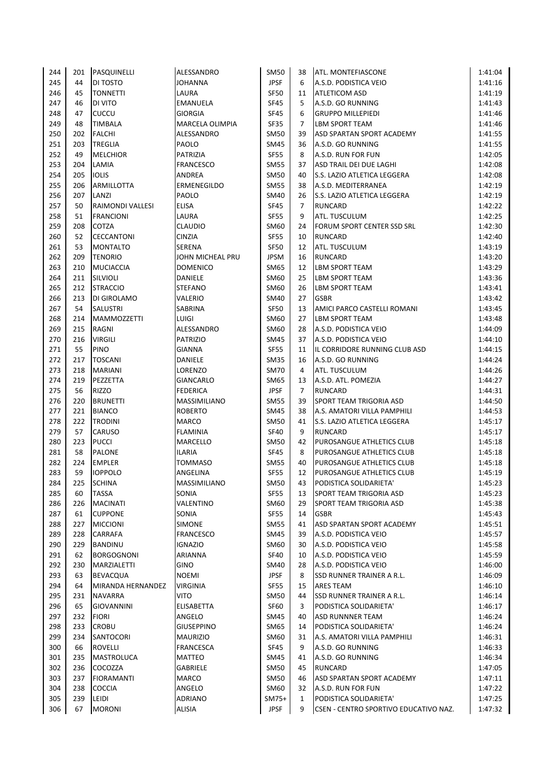| 244 | 201       | PASQUINELLI            | ALESSANDRO          | SM50                   | 38             | <b>ATL. MONTEFIASCONE</b>             | 1:41:04 |
|-----|-----------|------------------------|---------------------|------------------------|----------------|---------------------------------------|---------|
| 245 | 44        | DI TOSTO               | <b>JOHANNA</b>      | <b>JPSF</b>            | 6              | A.S.D. PODISTICA VEIO                 | 1:41:16 |
| 246 | 45        | <b>TONNETTI</b>        | LAURA               | <b>SF50</b>            | 11             | <b>ATLETICOM ASD</b>                  | 1:41:19 |
| 247 | 46        | DI VITO                | <b>EMANUELA</b>     | <b>SF45</b>            | 5              | A.S.D. GO RUNNING                     | 1:41:43 |
| 248 | 47        | CUCCU                  | <b>GIORGIA</b>      | <b>SF45</b>            | 6              | <b>GRUPPO MILLEPIEDI</b>              | 1:41:46 |
| 249 | 48        | <b>TIMBALA</b>         | MARCELA OLIMPIA     | SF35                   | $\overline{7}$ | <b>LBM SPORT TEAM</b>                 | 1:41:46 |
| 250 | 202       | <b>FALCHI</b>          | ALESSANDRO          | <b>SM50</b>            | 39             | ASD SPARTAN SPORT ACADEMY             | 1:41:55 |
| 251 | 203       | <b>TREGLIA</b>         | PAOLO               | SM45                   | 36             | A.S.D. GO RUNNING                     | 1:41:55 |
| 252 | 49        | <b>MELCHIOR</b>        | PATRIZIA            | <b>SF55</b>            | 8              | A.S.D. RUN FOR FUN                    | 1:42:05 |
| 253 | 204       | LAMIA                  | <b>FRANCESCO</b>    | <b>SM55</b>            | 37             | ASD TRAIL DEI DUE LAGHI               | 1:42:08 |
| 254 | 205       | <b>IOLIS</b>           | ANDREA              | <b>SM50</b>            | 40             | S.S. LAZIO ATLETICA LEGGERA           | 1:42:08 |
| 255 | 206       | ARMILLOTTA             | ERMENEGILDO         | <b>SM55</b>            | 38             | A.S.D. MEDITERRANEA                   | 1:42:19 |
| 256 | 207       | LANZI                  | PAOLO               | SM40                   | 26             | <b>S.S. LAZIO ATLETICA LEGGERA</b>    | 1:42:19 |
| 257 | 50        | RAIMONDI VALLESI       | <b>ELISA</b>        | <b>SF45</b>            | $\overline{7}$ | <b>RUNCARD</b>                        | 1:42:22 |
| 258 | 51        | <b>FRANCIONI</b>       | LAURA               | <b>SF55</b>            | 9              | ATL. TUSCULUM                         | 1:42:25 |
| 259 | 208       | COTZA                  | <b>CLAUDIO</b>      | SM60                   | 24             | FORUM SPORT CENTER SSD SRL            | 1:42:30 |
| 260 | 52        | <b>CECCANTONI</b>      | <b>CINZIA</b>       | <b>SF55</b>            | 10             | <b>RUNCARD</b>                        | 1:42:40 |
| 261 | 53        | <b>MONTALTO</b>        | SERENA              | <b>SF50</b>            | 12             | ATL. TUSCULUM                         | 1:43:19 |
| 262 | 209       | <b>TENORIO</b>         | JOHN MICHEAL PRU    | <b>JPSM</b>            | 16             | <b>RUNCARD</b>                        | 1:43:20 |
| 263 | 210       | <b>MUCIACCIA</b>       | <b>DOMENICO</b>     | SM65                   | 12             | <b>LBM SPORT TEAM</b>                 | 1:43:29 |
| 264 | 211       | SILVIOLI               | DANIELE             | SM60                   | 25             | <b>LBM SPORT TEAM</b>                 | 1:43:36 |
| 265 | 212       | <b>STRACCIO</b>        | <b>STEFANO</b>      | SM60                   | 26             | <b>LBM SPORT TEAM</b>                 | 1:43:41 |
| 266 | 213       | DI GIROLAMO            | VALERIO             | SM40                   | 27             | <b>GSBR</b>                           | 1:43:42 |
| 267 | 54        | <b>SALUSTRI</b>        | SABRINA             | <b>SF50</b>            | 13             | AMICI PARCO CASTELLI ROMANI           | 1:43:45 |
| 268 | 214       | <b>MAMMOZZETTI</b>     | LUIGI               | SM60                   | 27             | <b>LBM SPORT TEAM</b>                 | 1:43:48 |
| 269 | 215       | RAGNI                  | ALESSANDRO          | SM60                   | 28             | A.S.D. PODISTICA VEIO                 | 1:44:09 |
| 270 | 216       | <b>VIRGILI</b>         | <b>PATRIZIO</b>     | SM45                   | 37             | A.S.D. PODISTICA VEIO                 | 1:44:10 |
| 271 | 55        | <b>PINO</b>            | <b>GIANNA</b>       | <b>SF55</b>            | 11             | IL CORRIDORE RUNNING CLUB ASD         | 1:44:15 |
| 272 | 217       | <b>TOSCANI</b>         | DANIELE             | <b>SM35</b>            | 16             | A.S.D. GO RUNNING                     | 1:44:24 |
| 273 | 218       | <b>MARIANI</b>         | LORENZO             | <b>SM70</b>            | 4              | ATL. TUSCULUM                         | 1:44:26 |
| 274 | 219       | PEZZETTA               | <b>GIANCARLO</b>    | SM65                   | 13             | A.S.D. ATL. POMEZIA                   | 1:44:27 |
| 275 | 56        | <b>RIZZO</b>           | <b>FEDERICA</b>     | <b>JPSF</b>            | 7              | <b>RUNCARD</b>                        | 1:44:31 |
| 276 | 220       | <b>BRUNETTI</b>        | <b>MASSIMILIANO</b> | <b>SM55</b>            | 39             | <b>SPORT TEAM TRIGORIA ASD</b>        | 1:44:50 |
| 277 | 221       | <b>BIANCO</b>          | <b>ROBERTO</b>      | SM45                   | 38             | A.S. AMATORI VILLA PAMPHILI           | 1:44:53 |
| 278 | 222       | <b>TRODINI</b>         | <b>MARCO</b>        | <b>SM50</b>            | 41             | S.S. LAZIO ATLETICA LEGGERA           | 1:45:17 |
| 279 | 57        | CARUSO                 | <b>FLAMINIA</b>     | <b>SF40</b>            | 9              | <b>RUNCARD</b>                        | 1:45:17 |
| 280 | 223       | <b>PUCCI</b>           | MARCELLO            | SM50                   | 42             | PUROSANGUE ATHLETICS CLUB             | 1:45:18 |
| 281 | 58        | <b>PALONE</b>          | <b>ILARIA</b>       | <b>SF45</b>            | 8              | PUROSANGUE ATHLETICS CLUB             | 1:45:18 |
| 282 | 224       | <b>EMPLER</b>          | <b>TOMMASO</b>      | <b>SM55</b>            | 40             | PUROSANGUE ATHLETICS CLUB             | 1:45:18 |
| 283 | 59        | <b>IOPPOLO</b>         | ANGELINA            | <b>SF55</b>            | 12             | <b>PUROSANGUE ATHLETICS CLUB</b>      | 1:45:19 |
| 284 | 225       | <b>SCHINA</b>          | MASSIMILIANO        | SM50                   | 43             | PODISTICA SOLIDARIETA'                | 1:45:23 |
| 285 | 60        | <b>TASSA</b>           | SONIA               | <b>SF55</b>            | 13             | SPORT TEAM TRIGORIA ASD               | 1:45:23 |
| 286 | 226       | <b>MACINATI</b>        | VALENTINO           | SM60                   | 29             | SPORT TEAM TRIGORIA ASD               | 1:45:38 |
| 287 | 61        | <b>CUPPONE</b>         | SONIA               | <b>SF55</b>            | 14             | <b>GSBR</b>                           | 1:45:43 |
| 288 | 227       | <b>MICCIONI</b>        | <b>SIMONE</b>       | <b>SM55</b>            | 41             | ASD SPARTAN SPORT ACADEMY             | 1:45:51 |
| 289 | 228       | CARRAFA                | <b>FRANCESCO</b>    | SM45                   | 39             | A.S.D. PODISTICA VEIO                 | 1:45:57 |
| 290 | 229       | <b>BANDINU</b>         | <b>IGNAZIO</b>      | SM60                   | 30             | A.S.D. PODISTICA VEIO                 | 1:45:58 |
| 291 | 62        | <b>BORGOGNONI</b>      | ARIANNA             | <b>SF40</b>            | 10             | A.S.D. PODISTICA VEIO                 | 1:45:59 |
| 292 | 230       | MARZIALETTI            | GINO                | SM40                   | 28             | A.S.D. PODISTICA VEIO                 | 1:46:00 |
| 293 | 63        | <b>BEVACQUA</b>        | <b>NOEMI</b>        | <b>JPSF</b>            | 8              | SSD RUNNER TRAINER A R.L.             | 1:46:09 |
| 294 | 64        | MIRANDA HERNANDEZ      | <b>VIRGINIA</b>     | SF55                   | 15             | <b>ARES TEAM</b>                      | 1:46:10 |
| 295 | 231       | <b>NAVARRA</b>         | VITO                | SM50                   | 44             | <b>SSD RUNNER TRAINER A R.L.</b>      | 1:46:14 |
| 296 | 65        | <b>GIOVANNINI</b>      | <b>ELISABETTA</b>   | SF60                   | 3              | PODISTICA SOLIDARIETA'                | 1:46:17 |
| 297 | 232       | <b>FIORI</b>           | ANGELO              | SM45                   | 40             | <b>ASD RUNNNER TEAM</b>               | 1:46:24 |
| 298 | 233       | <b>CROBU</b>           | <b>GIUSEPPINO</b>   | SM65                   | 14             | PODISTICA SOLIDARIETA'                | 1:46:24 |
| 299 | 234       | SANTOCORI              | <b>MAURIZIO</b>     | SM60                   | 31             | A.S. AMATORI VILLA PAMPHILI           | 1:46:31 |
| 300 | 66        | <b>ROVELLI</b>         | <b>FRANCESCA</b>    | SF45                   | 9              | A.S.D. GO RUNNING                     | 1:46:33 |
| 301 | 235       | <b>MASTROLUCA</b>      | MATTEO              | SM45                   | 41             | A.S.D. GO RUNNING                     | 1:46:34 |
| 302 | 236       | COCOZZA                | GABRIELE            | <b>SM50</b>            | 45             | <b>RUNCARD</b>                        | 1:47:05 |
| 303 | 237       | <b>FIORAMANTI</b>      | MARCO               | SM50                   | 46             | ASD SPARTAN SPORT ACADEMY             | 1:47:11 |
| 304 | 238       | <b>COCCIA</b>          | ANGELO              | SM60                   | 32             | A.S.D. RUN FOR FUN                    | 1:47:22 |
| 305 |           |                        |                     |                        |                |                                       |         |
| 306 | 239<br>67 | LEIDI<br><b>MORONI</b> | ADRIANO             | $SM75+$<br><b>JPSF</b> | 1<br>9         | PODISTICA SOLIDARIETA'                | 1:47:25 |
|     |           |                        | ALISIA              |                        |                | CSEN - CENTRO SPORTIVO EDUCATIVO NAZ. | 1:47:32 |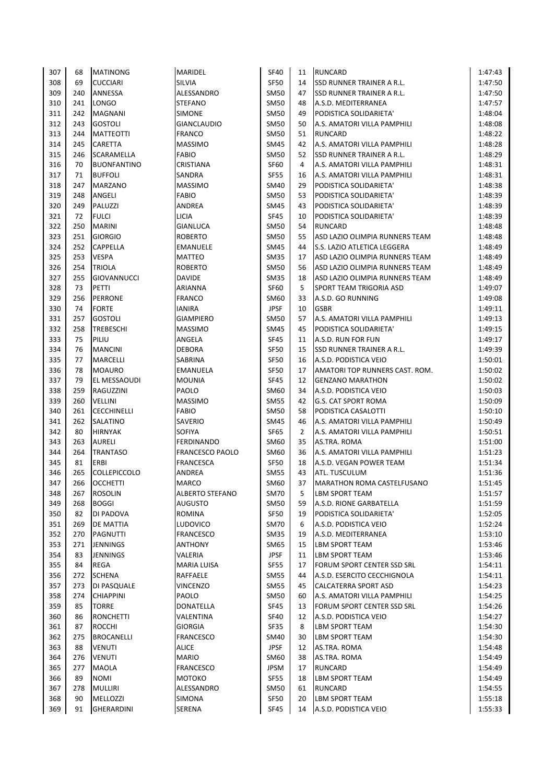| 307        | 68       | <b>MATINONG</b>                  | <b>MARIDEL</b>         | <b>SF40</b>                | 11             | RUNCARD                                                   | 1:47:43            |
|------------|----------|----------------------------------|------------------------|----------------------------|----------------|-----------------------------------------------------------|--------------------|
| 308        | 69       | <b>CUCCIARI</b>                  | SILVIA                 | <b>SF50</b>                | 14             | <b>SSD RUNNER TRAINER A R.L.</b>                          | 1:47:50            |
| 309        | 240      | ANNESSA                          | ALESSANDRO             | SM50                       | 47             | <b>SSD RUNNER TRAINER A R.L.</b>                          | 1:47:50            |
| 310        | 241      | <b>LONGO</b>                     | <b>STEFANO</b>         | <b>SM50</b>                | 48             | A.S.D. MEDITERRANEA                                       | 1:47:57            |
| 311        | 242      | <b>MAGNANI</b>                   | <b>SIMONE</b>          | <b>SM50</b>                | 49             | PODISTICA SOLIDARIETA'                                    | 1:48:04            |
| 312        | 243      | <b>GOSTOLI</b>                   | <b>GIANCLAUDIO</b>     | SM50                       | 50             | A.S. AMATORI VILLA PAMPHILI                               | 1:48:08            |
| 313        | 244      | <b>MATTEOTTI</b>                 | <b>FRANCO</b>          | <b>SM50</b>                | 51             | <b>RUNCARD</b>                                            | 1:48:22            |
| 314        | 245      | CARETTA                          | <b>MASSIMO</b>         | SM45                       | 42             | A.S. AMATORI VILLA PAMPHILI                               | 1:48:28            |
| 315        | 246      | SCARAMELLA                       | <b>FABIO</b>           | SM50                       | 52             | <b>SSD RUNNER TRAINER A R.L.</b>                          | 1:48:29            |
| 316        | 70       | <b>BUONFANTINO</b>               | CRISTIANA              | <b>SF60</b>                | 4              | A.S. AMATORI VILLA PAMPHILI                               | 1:48:31            |
| 317        | 71       | <b>BUFFOLI</b>                   | SANDRA                 | <b>SF55</b>                | 16             | A.S. AMATORI VILLA PAMPHILI                               | 1:48:31            |
| 318        | 247      | <b>MARZANO</b>                   | <b>MASSIMO</b>         | SM40                       | 29             | PODISTICA SOLIDARIETA'                                    | 1:48:38            |
| 319        | 248      | ANGELI                           | <b>FABIO</b>           | <b>SM50</b>                | 53             | PODISTICA SOLIDARIETA'                                    | 1:48:39            |
| 320        | 249      | <b>PALUZZI</b>                   | ANDREA                 | SM45                       | 43             | PODISTICA SOLIDARIETA'                                    | 1:48:39            |
| 321        | 72       | <b>FULCI</b>                     | <b>LICIA</b>           | <b>SF45</b>                | 10             | PODISTICA SOLIDARIETA'                                    | 1:48:39            |
| 322        | 250      | <b>MARINI</b>                    | <b>GIANLUCA</b>        | <b>SM50</b>                | 54             | <b>RUNCARD</b>                                            | 1:48:48            |
| 323        | 251      | <b>GIORGIO</b>                   | <b>ROBERTO</b>         | <b>SM50</b>                | 55             | ASD LAZIO OLIMPIA RUNNERS TEAM                            | 1:48:48            |
| 324        | 252      | <b>CAPPELLA</b>                  | <b>EMANUELE</b>        | <b>SM45</b>                | 44             | S.S. LAZIO ATLETICA LEGGERA                               | 1:48:49            |
| 325        | 253      | <b>VESPA</b>                     | MATTEO                 | <b>SM35</b>                | 17             | ASD LAZIO OLIMPIA RUNNERS TEAM                            | 1:48:49            |
| 326        | 254      | <b>TRIOLA</b>                    | <b>ROBERTO</b>         | <b>SM50</b>                | 56             | ASD LAZIO OLIMPIA RUNNERS TEAM                            | 1:48:49            |
| 327        | 255      | <b>GIOVANNUCCI</b>               | <b>DAVIDE</b>          | <b>SM35</b>                | 18             | ASD LAZIO OLIMPIA RUNNERS TEAM                            | 1:48:49            |
| 328        | 73       | PETTI                            | ARIANNA                | <b>SF60</b>                | 5              | SPORT TEAM TRIGORIA ASD                                   | 1:49:07            |
| 329        | 256      | <b>PERRONE</b>                   | <b>FRANCO</b>          | SM60                       | 33             | A.S.D. GO RUNNING                                         | 1:49:08            |
| 330        | 74       | <b>FORTE</b>                     | <b>IANIRA</b>          | <b>JPSF</b>                | 10             | <b>GSBR</b>                                               | 1:49:11            |
| 331        | 257      | <b>GOSTOLI</b>                   | <b>GIAMPIERO</b>       | SM50                       | 57             | A.S. AMATORI VILLA PAMPHILI                               | 1:49:13            |
| 332        | 258      | <b>TREBESCHI</b>                 | <b>MASSIMO</b>         | SM45                       | 45             | PODISTICA SOLIDARIETA'                                    | 1:49:15            |
| 333        | 75       | PILIU                            | ANGELA                 | <b>SF45</b>                | 11             | A.S.D. RUN FOR FUN                                        | 1:49:17            |
| 334        | 76       | <b>MANCINI</b>                   | <b>DEBORA</b>          | SF50                       | 15             | <b>SSD RUNNER TRAINER A R.L.</b>                          | 1:49:39            |
| 335        | 77       | <b>MARCELLI</b>                  | SABRINA                | <b>SF50</b>                | 16             | A.S.D. PODISTICA VEIO                                     | 1:50:01            |
| 336        | 78       | <b>MOAURO</b>                    | EMANUELA               | <b>SF50</b>                | 17             | AMATORI TOP RUNNERS CAST. ROM.                            | 1:50:02            |
| 337        | 79       | <b>EL MESSAOUDI</b>              | <b>MOUNIA</b>          | <b>SF45</b>                | 12             | <b>GENZANO MARATHON</b>                                   | 1:50:02            |
| 338        | 259      | RAGUZZINI                        | PAOLO                  | SM60                       | 34             | A.S.D. PODISTICA VEIO                                     | 1:50:03            |
| 339        | 260      | <b>VELLINI</b>                   | <b>MASSIMO</b>         | <b>SM55</b>                | 42             | <b>G.S. CAT SPORT ROMA</b>                                | 1:50:09            |
| 340        | 261      | <b>CECCHINELLI</b>               | <b>FABIO</b>           | <b>SM50</b>                | 58             | PODISTICA CASALOTTI                                       | 1:50:10            |
| 341        | 262      | SALATINO                         | SAVERIO                | SM45                       | 46             | A.S. AMATORI VILLA PAMPHILI                               | 1:50:49            |
| 342        | 80       | <b>HIRNYAK</b>                   | <b>SOFIYA</b>          | <b>SF65</b>                | $\overline{2}$ | A.S. AMATORI VILLA PAMPHILI                               | 1:50:51            |
| 343        | 263      | <b>AURELI</b>                    | <b>FERDINANDO</b>      | SM60                       | 35             | AS.TRA. ROMA                                              | 1:51:00            |
| 344        | 264      | <b>TRANTASO</b>                  | <b>FRANCESCO PAOLO</b> | SM60                       | 36             | A.S. AMATORI VILLA PAMPHILI                               | 1:51:23            |
| 345        | 81       | <b>ERBI</b>                      | <b>FRANCESCA</b>       | <b>SF50</b>                | 18             | A.S.D. VEGAN POWER TEAM                                   | 1:51:34            |
| 346        | 265      | <b>COLLEPICCOLO</b>              | <b>ANDREA</b>          | <b>SM55</b>                | 43             | ATL. TUSCULUM                                             | 1:51:36            |
| 347        | 266      | <b>OCCHETTI</b>                  | <b>MARCO</b>           | SM60                       | 37             | <b>IMARATHON ROMA CASTELFUSANO</b>                        | 1:51:45            |
| 348        | 267      | <b>ROSOLIN</b>                   | ALBERTO STEFANO        | <b>SM70</b>                | 5              | <b>LBM SPORT TEAM</b>                                     | 1:51:57            |
| 349        | 268      | <b>BOGGI</b>                     | <b>AUGUSTO</b>         | <b>SM50</b>                | 59             | A.S.D. RIONE GARBATELLA                                   | 1:51:59            |
| 350        | 82       | DI PADOVA                        | ROMINA                 | SF50                       | 19             | PODISTICA SOLIDARIETA'                                    | 1:52:05            |
| 351        | 269      | <b>DE MATTIA</b>                 | <b>LUDOVICO</b>        | <b>SM70</b>                | 6              | A.S.D. PODISTICA VEIO                                     | 1:52:24            |
| 352        | 270      | PAGNUTTI                         | <b>FRANCESCO</b>       | <b>SM35</b>                | 19             | A.S.D. MEDITERRANEA                                       | 1:53:10            |
| 353        | 271      | <b>JENNINGS</b>                  | ANTHONY                | SM65                       | 15             | <b>LBM SPORT TEAM</b>                                     | 1:53:46            |
| 354<br>355 | 83<br>84 | <b>JENNINGS</b><br><b>REGA</b>   | VALERIA                | <b>JPSF</b><br><b>SF55</b> | 11<br>17       | <b>LBM SPORT TEAM</b><br>FORUM SPORT CENTER SSD SRL       | 1:53:46            |
| 356        | 272      | <b>SCHENA</b>                    | MARIA LUISA            | <b>SM55</b>                | 44             | A.S.D. ESERCITO CECCHIGNOLA                               | 1:54:11            |
| 357        | 273      |                                  | RAFFAELE               | <b>SM55</b>                | 45             |                                                           | 1:54:11            |
| 358        | 274      | DI PASQUALE                      | <b>VINCENZO</b>        | SM50                       |                | <b>CALCATERRA SPORT ASD</b>                               | 1:54:23            |
| 359        | 85       | <b>CHIAPPINI</b><br><b>TORRE</b> | PAOLO<br>DONATELLA     | <b>SF45</b>                | 60<br>13       | A.S. AMATORI VILLA PAMPHILI<br>FORUM SPORT CENTER SSD SRL | 1:54:25<br>1:54:26 |
| 360        | 86       | <b>RONCHETTI</b>                 | VALENTINA              | <b>SF40</b>                | 12             | A.S.D. PODISTICA VEIO                                     | 1:54:27            |
| 361        | 87       | <b>ROCCHI</b>                    | <b>GIORGIA</b>         | SF35                       | 8              | <b>LBM SPORT TEAM</b>                                     | 1:54:30            |
| 362        | 275      | <b>BROCANELLI</b>                | <b>FRANCESCO</b>       | SM40                       | 30             | <b>LBM SPORT TEAM</b>                                     | 1:54:30            |
| 363        | 88       | <b>VENUTI</b>                    | ALICE                  | <b>JPSF</b>                | 12             | AS.TRA. ROMA                                              | 1:54:48            |
| 364        | 276      | <b>VENUTI</b>                    | <b>MARIO</b>           | SM60                       | 38             | AS.TRA. ROMA                                              | 1:54:49            |
| 365        | 277      | MAOLA                            | <b>FRANCESCO</b>       | <b>JPSM</b>                | 17             | <b>RUNCARD</b>                                            | 1:54:49            |
| 366        | 89       | <b>NOMI</b>                      | МОТОКО                 | <b>SF55</b>                | 18             | <b>LBM SPORT TEAM</b>                                     | 1:54:49            |
| 367        | 278      | <b>MULLIRI</b>                   | ALESSANDRO             | SM50                       | 61             | <b>RUNCARD</b>                                            | 1:54:55            |
| 368        | 90       | <b>MELLOZZI</b>                  | SIMONA                 | SF50                       | 20             | <b>LBM SPORT TEAM</b>                                     | 1:55:18            |
| 369        | 91       | <b>GHERARDINI</b>                | SERENA                 | <b>SF45</b>                | 14             | A.S.D. PODISTICA VEIO                                     | 1:55:33            |
|            |          |                                  |                        |                            |                |                                                           |                    |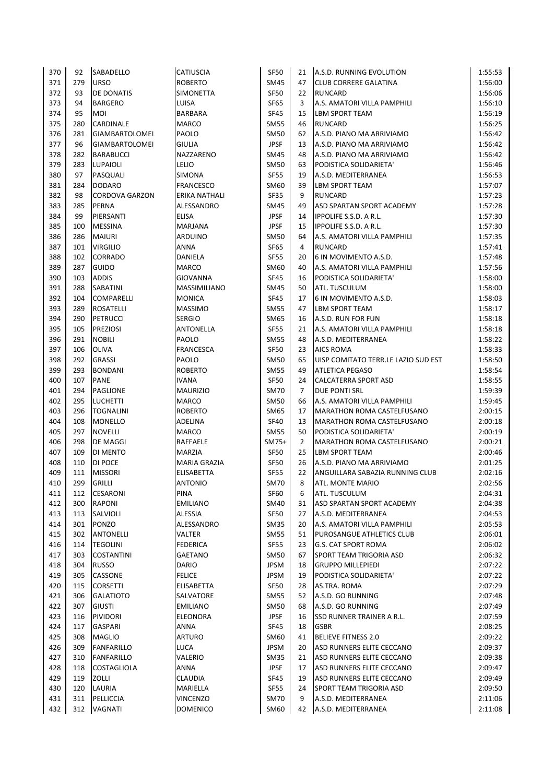| 370        | 92         | SABADELLO                  | <b>CATIUSCIA</b>                     | <b>SF50</b>                | 21             | A.S.D. RUNNING EVOLUTION                                   | 1:55:53            |
|------------|------------|----------------------------|--------------------------------------|----------------------------|----------------|------------------------------------------------------------|--------------------|
| 371        | 279        | <b>URSO</b>                | <b>ROBERTO</b>                       | SM45                       | 47             | <b>CLUB CORRERE GALATINA</b>                               | 1:56:00            |
| 372        | 93         | DE DONATIS                 | <b>SIMONETTA</b>                     | <b>SF50</b>                | 22             | <b>RUNCARD</b>                                             | 1:56:06            |
| 373        | 94         | <b>BARGERO</b>             | LUISA                                | <b>SF65</b>                | 3              | A.S. AMATORI VILLA PAMPHILI                                | 1:56:10            |
| 374        | 95         | MOI                        | <b>BARBARA</b>                       | <b>SF45</b>                | 15             | <b>LBM SPORT TEAM</b>                                      | 1:56:19            |
| 375        | 280        | CARDINALE                  | <b>MARCO</b>                         | <b>SM55</b>                | 46             | <b>RUNCARD</b>                                             | 1:56:25            |
| 376        | 281        | <b>GIAMBARTOLOMEI</b>      | PAOLO                                | <b>SM50</b>                | 62             | A.S.D. PIANO MA ARRIVIAMO                                  | 1:56:42            |
| 377        | 96         | <b>GIAMBARTOLOMEI</b>      | <b>GIULIA</b>                        | <b>JPSF</b>                | 13             | A.S.D. PIANO MA ARRIVIAMO                                  | 1:56:42            |
| 378        | 282        | <b>BARABUCCI</b>           | NAZZARENO                            | SM45                       | 48             | A.S.D. PIANO MA ARRIVIAMO                                  | 1:56:42            |
| 379        | 283        | <b>LUPAIOLI</b>            | LELIO                                | <b>SM50</b>                | 63             | PODISTICA SOLIDARIETA'                                     | 1:56:46            |
| 380        | 97         | PASQUALI                   | <b>SIMONA</b>                        | <b>SF55</b>                | 19             | A.S.D. MEDITERRANEA                                        | 1:56:53            |
| 381        | 284        | <b>DODARO</b>              | <b>FRANCESCO</b>                     | SM60                       | 39             | <b>LBM SPORT TEAM</b>                                      | 1:57:07            |
| 382        | 98         | <b>CORDOVA GARZON</b>      | <b>ERIKA NATHALI</b>                 | <b>SF35</b>                | 9              | <b>RUNCARD</b>                                             | 1:57:23            |
| 383        | 285        | PERNA                      | ALESSANDRO                           | SM45                       | 49             | ASD SPARTAN SPORT ACADEMY                                  | 1:57:28            |
| 384        | 99         | PIERSANTI                  | <b>ELISA</b>                         | <b>JPSF</b>                | 14             | <b>IPPOLIFE S.S.D. A R.L.</b>                              | 1:57:30            |
| 385        | 100        | <b>MESSINA</b>             | <b>MARJANA</b>                       | <b>JPSF</b>                | 15             | <b>IPPOLIFE S.S.D. A R.L.</b>                              | 1:57:30            |
| 386        | 286        | <b>MAIURI</b>              | ARDUINO                              | SM50                       | 64             | A.S. AMATORI VILLA PAMPHILI                                | 1:57:35            |
| 387        | 101        | <b>VIRGILIO</b>            | <b>ANNA</b>                          | <b>SF65</b>                | 4              | <b>RUNCARD</b>                                             | 1:57:41            |
| 388        | 102        | CORRADO                    | DANIELA                              | <b>SF55</b>                | 20             | 6 IN MOVIMENTO A.S.D.                                      | 1:57:48            |
| 389        | 287        | <b>GUIDO</b>               | <b>MARCO</b>                         | SM60                       | 40             | A.S. AMATORI VILLA PAMPHILI                                | 1:57:56            |
| 390        | 103        | <b>ADDIS</b>               | <b>GIOVANNA</b>                      | <b>SF45</b>                | 16             | PODISTICA SOLIDARIETA'                                     | 1:58:00            |
| 391        | 288        | SABATINI                   | <b>MASSIMILIANO</b>                  | SM45                       | 50             | ATL. TUSCULUM                                              | 1:58:00            |
| 392        | 104        | <b>COMPARELLI</b>          | <b>MONICA</b>                        | <b>SF45</b>                | 17             | 6 IN MOVIMENTO A.S.D.                                      | 1:58:03            |
| 393        | 289        | <b>ROSATELLI</b>           | <b>MASSIMO</b>                       | <b>SM55</b>                | 47             | <b>LBM SPORT TEAM</b>                                      | 1:58:17            |
| 394        | 290        | <b>PETRUCCI</b>            | <b>SERGIO</b>                        | SM65                       | 16             | A.S.D. RUN FOR FUN                                         | 1:58:18            |
| 395        | 105        | <b>PREZIOSI</b>            | <b>ANTONELLA</b>                     | <b>SF55</b>                | 21             | A.S. AMATORI VILLA PAMPHILI                                | 1:58:18            |
| 396        | 291        | <b>NOBILI</b>              | PAOLO                                | <b>SM55</b>                | 48             | A.S.D. MEDITERRANEA                                        | 1:58:22            |
| 397        | 106        | <b>OLIVA</b>               | <b>FRANCESCA</b>                     | <b>SF50</b>                | 23             | <b>AICS ROMA</b>                                           | 1:58:33            |
| 398        | 292        | <b>GRASSI</b>              | PAOLO                                | <b>SM50</b>                | 65             | UISP COMITATO TERR.LE LAZIO SUD EST                        | 1:58:50            |
| 399        | 293        | <b>BONDANI</b>             | <b>ROBERTO</b>                       | <b>SM55</b>                | 49             | <b>ATLETICA PEGASO</b>                                     | 1:58:54            |
| 400        | 107        | <b>PANE</b>                | <b>IVANA</b>                         | <b>SF50</b>                | 24             | <b>CALCATERRA SPORT ASD</b>                                | 1:58:55            |
| 401        | 294        | <b>PAGLIONE</b>            | <b>MAURIZIO</b>                      | <b>SM70</b>                | $\overline{7}$ | <b>DUE PONTI SRL</b>                                       | 1:59:39            |
| 402        | 295        | <b>LUCHETTI</b>            | <b>MARCO</b>                         | <b>SM50</b>                | 66             | A.S. AMATORI VILLA PAMPHILI                                | 1:59:45            |
| 403        | 296        | <b>TOGNALINI</b>           | <b>ROBERTO</b>                       | SM65                       | 17             | <b>MARATHON ROMA CASTELFUSANO</b>                          | 2:00:15            |
| 404        | 108        | <b>MONELLO</b>             | ADELINA                              | <b>SF40</b>                | 13             | <b>MARATHON ROMA CASTELFUSANO</b>                          | 2:00:18            |
| 405        | 297        | <b>NOVELLI</b>             | MARCO                                | <b>SM55</b>                | 50             | PODISTICA SOLIDARIETA'                                     | 2:00:19            |
| 406        | 298        | <b>DE MAGGI</b>            | RAFFAELE                             | $SM75+$                    | $\overline{2}$ | <b>MARATHON ROMA CASTELFUSANO</b><br><b>LBM SPORT TEAM</b> | 2:00:21            |
| 407<br>408 | 109<br>110 | DI MENTO<br><b>DI POCE</b> | <b>MARZIA</b><br><b>MARIA GRAZIA</b> | <b>SF50</b><br><b>SF50</b> | 25<br>26       | A.S.D. PIANO MA ARRIVIAMO                                  | 2:00:46<br>2:01:25 |
|            |            | <b>MISSORI</b>             | <b>ELISABETTA</b>                    | <b>SF55</b>                | 22             |                                                            |                    |
| 409<br>410 | 111<br>299 | <b>GRILLI</b>              | <b>ANTONIO</b>                       | <b>SM70</b>                | 8              | ANGUILLARA SABAZIA RUNNING CLUB<br><b>ATL. MONTE MARIO</b> | 2:02:16<br>2:02:56 |
| 411        |            | <b>CESARONI</b>            | PINA                                 | <b>SF60</b>                |                | ATL. TUSCULUM                                              |                    |
| 412        | 112<br>300 | <b>RAPONI</b>              |                                      | SM40                       | 6<br>31        | ASD SPARTAN SPORT ACADEMY                                  | 2:04:31<br>2:04:38 |
| 413        | 113        | SALVIOLI                   | <b>EMILIANO</b><br><b>ALESSIA</b>    | SF50                       | 27             | A.S.D. MEDITERRANEA                                        |                    |
| 414        | 301        | PONZO                      | ALESSANDRO                           | <b>SM35</b>                | 20             | A.S. AMATORI VILLA PAMPHILI                                | 2:04:53<br>2:05:53 |
| 415        | 302        | <b>ANTONELLI</b>           | VALTER                               | <b>SM55</b>                | 51             | PUROSANGUE ATHLETICS CLUB                                  | 2:06:01            |
| 416        | 114        | <b>TEGOLINI</b>            | <b>FEDERICA</b>                      | <b>SF55</b>                | 23             | G.S. CAT SPORT ROMA                                        | 2:06:02            |
| 417        | 303        | <b>COSTANTINI</b>          | GAETANO                              | SM50                       | 67             | SPORT TEAM TRIGORIA ASD                                    | 2:06:32            |
| 418        | 304        | <b>RUSSO</b>               | DARIO                                | <b>JPSM</b>                | 18             | <b>GRUPPO MILLEPIEDI</b>                                   | 2:07:22            |
| 419        | 305        | CASSONE                    | <b>FELICE</b>                        | JPSM                       | 19             | PODISTICA SOLIDARIETA'                                     | 2:07:22            |
| 420        | 115        | <b>CORSETTI</b>            | <b>ELISABETTA</b>                    | SF50                       | 28             | AS.TRA. ROMA                                               | 2:07:29            |
| 421        | 306        | <b>GALATIOTO</b>           | SALVATORE                            | SM55                       | 52             | A.S.D. GO RUNNING                                          | 2:07:48            |
| 422        | 307        | <b>GIUSTI</b>              | <b>EMILIANO</b>                      | SM50                       | 68             | A.S.D. GO RUNNING                                          | 2:07:49            |
| 423        | 116        | PIVIDORI                   | ELEONORA                             | <b>JPSF</b>                | 16             | SSD RUNNER TRAINER A R.L.                                  | 2:07:59            |
| 424        | 117        | <b>GASPARI</b>             | ANNA                                 | SF45                       | 18             | <b>GSBR</b>                                                | 2:08:25            |
| 425        | 308        | <b>MAGLIO</b>              | <b>ARTURO</b>                        | SM60                       | 41             | <b>BELIEVE FITNESS 2.0</b>                                 | 2:09:22            |
| 426        | 309        | <b>FANFARILLO</b>          | LUCA                                 | <b>JPSM</b>                | 20             | ASD RUNNERS ELITE CECCANO                                  | 2:09:37            |
| 427        | 310        | <b>FANFARILLO</b>          | VALERIO                              | <b>SM35</b>                | 21             | ASD RUNNERS ELITE CECCANO                                  | 2:09:38            |
| 428        | 118        | COSTAGLIOLA                | ANNA                                 | <b>JPSF</b>                | 17             | ASD RUNNERS ELITE CECCANO                                  | 2:09:47            |
| 429        | 119        | ZOLLI                      | CLAUDIA                              | <b>SF45</b>                | 19             | ASD RUNNERS ELITE CECCANO                                  | 2:09:49            |
| 430        | 120        | LAURIA                     | MARIELLA                             | SF55                       | 24             | SPORT TEAM TRIGORIA ASD                                    | 2:09:50            |
| 431        | 311        | PELLICCIA                  | VINCENZO                             | <b>SM70</b>                | 9              | A.S.D. MEDITERRANEA                                        | 2:11:06            |
| 432        | 312        | VAGNATI                    | <b>DOMENICO</b>                      | SM60                       | 42             | A.S.D. MEDITERRANEA                                        | 2:11:08            |
|            |            |                            |                                      |                            |                |                                                            |                    |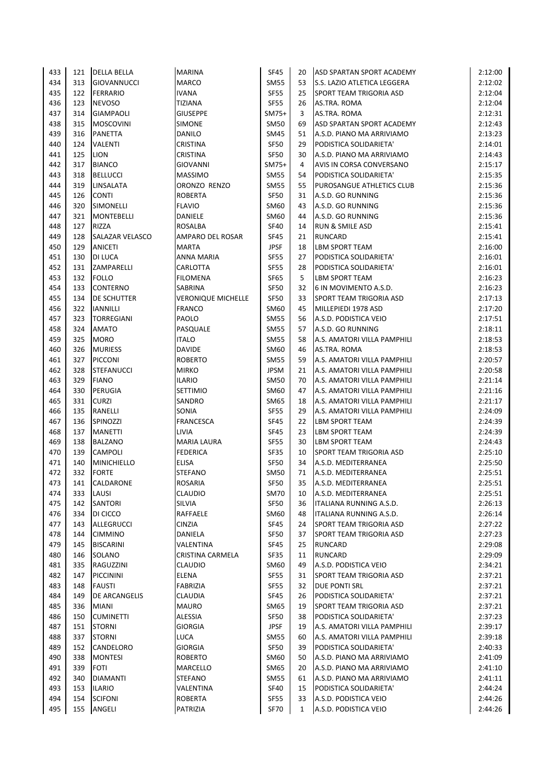| 433 | 121 | <b>DELLA BELLA</b>     | <b>MARINA</b>             | <b>SF45</b> | 20              | ASD SPARTAN SPORT ACADEMY          | 2:12:00 |
|-----|-----|------------------------|---------------------------|-------------|-----------------|------------------------------------|---------|
| 434 | 313 | <b>GIOVANNUCCI</b>     | <b>MARCO</b>              | <b>SM55</b> | 53              | <b>S.S. LAZIO ATLETICA LEGGERA</b> | 2:12:02 |
| 435 | 122 | <b>FERRARIO</b>        | <b>IVANA</b>              | <b>SF55</b> | 25              | SPORT TEAM TRIGORIA ASD            | 2:12:04 |
| 436 | 123 | <b>NEVOSO</b>          | <b>TIZIANA</b>            | <b>SF55</b> | 26              | AS.TRA. ROMA                       | 2:12:04 |
| 437 | 314 | <b>GIAMPAOLI</b>       | <b>GIUSEPPE</b>           | $SM75+$     | 3               | AS.TRA. ROMA                       | 2:12:31 |
| 438 | 315 | <b>MOSCOVINI</b>       | <b>SIMONE</b>             | <b>SM50</b> | 69              | ASD SPARTAN SPORT ACADEMY          | 2:12:43 |
| 439 | 316 | PANETTA                | DANILO                    | SM45        | 51              | A.S.D. PIANO MA ARRIVIAMO          | 2:13:23 |
| 440 | 124 | <b>VALENTI</b>         | <b>CRISTINA</b>           | <b>SF50</b> | 29              | PODISTICA SOLIDARIETA'             | 2:14:01 |
| 441 | 125 | <b>LION</b>            | <b>CRISTINA</b>           | <b>SF50</b> | 30              | A.S.D. PIANO MA ARRIVIAMO          | 2:14:43 |
| 442 | 317 | <b>BIANCO</b>          | <b>GIOVANNI</b>           | SM75+       | 4               | AVIS IN CORSA CONVERSANO           | 2:15:17 |
| 443 | 318 | <b>BELLUCCI</b>        | <b>MASSIMO</b>            | <b>SM55</b> | 54              | PODISTICA SOLIDARIETA'             | 2:15:35 |
| 444 | 319 | <b>LINSALATA</b>       | ORONZO RENZO              | <b>SM55</b> | 55              | PUROSANGUE ATHLETICS CLUB          | 2:15:36 |
| 445 | 126 | <b>CONTI</b>           | <b>ROBERTA</b>            | <b>SF50</b> | 31              | A.S.D. GO RUNNING                  | 2:15:36 |
| 446 | 320 | SIMONELLI              | <b>FLAVIO</b>             | SM60        | 43              | A.S.D. GO RUNNING                  | 2:15:36 |
| 447 | 321 | <b>MONTEBELLI</b>      | DANIELE                   | SM60        | 44              | A.S.D. GO RUNNING                  | 2:15:36 |
| 448 | 127 | <b>RIZZA</b>           | ROSALBA                   | <b>SF40</b> | 14              | <b>RUN &amp; SMILE ASD</b>         | 2:15:41 |
| 449 | 128 | <b>SALAZAR VELASCO</b> | AMPARO DEL ROSAR          | <b>SF45</b> | 21              | <b>RUNCARD</b>                     | 2:15:41 |
| 450 | 129 | <b>ANICETI</b>         | <b>MARTA</b>              | <b>JPSF</b> | 18              | <b>LBM SPORT TEAM</b>              | 2:16:00 |
| 451 | 130 | DI LUCA                | <b>ANNA MARIA</b>         | <b>SF55</b> | 27              | PODISTICA SOLIDARIETA'             | 2:16:01 |
| 452 | 131 | ZAMPARELLI             | CARLOTTA                  | <b>SF55</b> | 28              | PODISTICA SOLIDARIETA'             | 2:16:01 |
| 453 | 132 | <b>FOLLO</b>           | <b>FILOMENA</b>           | <b>SF65</b> | 5               | <b>LBM SPORT TEAM</b>              | 2:16:23 |
| 454 | 133 | <b>CONTERNO</b>        | SABRINA                   | <b>SF50</b> | 32              | 6 IN MOVIMENTO A.S.D.              | 2:16:23 |
| 455 | 134 | DE SCHUTTER            | <b>VERONIQUE MICHELLE</b> | <b>SF50</b> | 33              | SPORT TEAM TRIGORIA ASD            | 2:17:13 |
| 456 | 322 | <b>IANNILLI</b>        | <b>FRANCO</b>             | SM60        | 45              | MILLEPIEDI 1978 ASD                | 2:17:20 |
| 457 | 323 | <b>TORREGIANI</b>      | PAOLO                     | <b>SM55</b> | 56              | A.S.D. PODISTICA VEIO              | 2:17:51 |
| 458 | 324 | <b>AMATO</b>           | PASQUALE                  | <b>SM55</b> | 57              | A.S.D. GO RUNNING                  | 2:18:11 |
| 459 | 325 | <b>MORO</b>            | <b>ITALO</b>              | <b>SM55</b> | 58              | A.S. AMATORI VILLA PAMPHILI        | 2:18:53 |
| 460 | 326 | <b>MURIESS</b>         | <b>DAVIDE</b>             | SM60        | 46              | AS.TRA. ROMA                       | 2:18:53 |
| 461 | 327 | <b>PICCONI</b>         | <b>ROBERTO</b>            | <b>SM55</b> | 59              | A.S. AMATORI VILLA PAMPHILI        | 2:20:57 |
| 462 | 328 | <b>STEFANUCCI</b>      | <b>MIRKO</b>              | <b>JPSM</b> | 21              | A.S. AMATORI VILLA PAMPHILI        | 2:20:58 |
| 463 | 329 | <b>FIANO</b>           | <b>ILARIO</b>             | SM50        | 70              | A.S. AMATORI VILLA PAMPHILI        | 2:21:14 |
| 464 | 330 | PERUGIA                | <b>SETTIMIO</b>           | SM60        | 47              | A.S. AMATORI VILLA PAMPHILI        | 2:21:16 |
| 465 | 331 | <b>CURZI</b>           | SANDRO                    | SM65        | 18              | A.S. AMATORI VILLA PAMPHILI        | 2:21:17 |
| 466 | 135 | RANELLI                | SONIA                     | <b>SF55</b> | 29              | A.S. AMATORI VILLA PAMPHILI        | 2:24:09 |
| 467 | 136 | SPINOZZI               | <b>FRANCESCA</b>          | <b>SF45</b> | 22              | <b>LBM SPORT TEAM</b>              | 2:24:39 |
| 468 | 137 | <b>MANETTI</b>         | <b>LIVIA</b>              | <b>SF45</b> | 23              | <b>LBM SPORT TEAM</b>              | 2:24:39 |
| 469 | 138 | <b>BALZANO</b>         | <b>MARIA LAURA</b>        | <b>SF55</b> | 30              | <b>LBM SPORT TEAM</b>              | 2:24:43 |
| 470 | 139 | <b>CAMPOLI</b>         | <b>FEDERICA</b>           | SF35        | 10              | <b>SPORT TEAM TRIGORIA ASD</b>     | 2:25:10 |
| 471 | 140 | MINICHIELLO            | <b>ELISA</b>              | SF50        | 34              | A.S.D. MEDITERRANEA                | 2:25:50 |
| 472 | 332 | <b>FORTE</b>           | <b>STEFANO</b>            | SM50        | 71              | A.S.D. MEDITERRANEA                | 2:25:51 |
| 473 | 141 | CALDARONE              | <b>ROSARIA</b>            | <b>SF50</b> | 35 <sub>1</sub> | A.S.D. MEDITERRANEA                | 2:25:51 |
| 474 | 333 | LAUSI                  | CLAUDIO                   | <b>SM70</b> | 10              | A.S.D. MEDITERRANEA                | 2:25:51 |
| 475 | 142 | SANTORI                | SILVIA                    | SF50        | 36              | ITALIANA RUNNING A.S.D.            | 2:26:13 |
| 476 | 334 | DI CICCO               | RAFFAELE                  | SM60        | 48              | ITALIANA RUNNING A.S.D.            | 2:26:14 |
| 477 | 143 | ALLEGRUCCI             | <b>CINZIA</b>             | <b>SF45</b> | 24              | <b>SPORT TEAM TRIGORIA ASD</b>     | 2:27:22 |
| 478 | 144 | <b>CIMMINO</b>         | DANIELA                   | <b>SF50</b> | 37              | SPORT TEAM TRIGORIA ASD            | 2:27:23 |
| 479 | 145 | <b>BISCARINI</b>       | VALENTINA                 | <b>SF45</b> | 25              | <b>RUNCARD</b>                     | 2:29:08 |
| 480 | 146 | SOLANO                 | CRISTINA CARMELA          | <b>SF35</b> | 11              | <b>RUNCARD</b>                     | 2:29:09 |
| 481 | 335 | RAGUZZINI              | CLAUDIO                   | SM60        | 49              | A.S.D. PODISTICA VEIO              | 2:34:21 |
| 482 | 147 | <b>PICCININI</b>       | ELENA                     | <b>SF55</b> | 31              | SPORT TEAM TRIGORIA ASD            | 2:37:21 |
| 483 | 148 | <b>FAUSTI</b>          | FABRIZIA                  | SF55        | 32              | DUE PONTI SRL                      | 2:37:21 |
| 484 | 149 | DE ARCANGELIS          | <b>CLAUDIA</b>            | <b>SF45</b> | 26              | PODISTICA SOLIDARIETA'             | 2:37:21 |
| 485 | 336 | <b>MIANI</b>           | <b>MAURO</b>              | SM65        | 19              | SPORT TEAM TRIGORIA ASD            | 2:37:21 |
| 486 | 150 | <b>CUMINETTI</b>       | ALESSIA                   | SF50        | 38              | PODISTICA SOLIDARIETA'             | 2:37:23 |
| 487 | 151 | <b>STORNI</b>          | GIORGIA                   | <b>JPSF</b> | 19              | A.S. AMATORI VILLA PAMPHILI        | 2:39:17 |
| 488 | 337 | <b>STORNI</b>          | LUCA                      | <b>SM55</b> | 60              | A.S. AMATORI VILLA PAMPHILI        | 2:39:18 |
| 489 | 152 | CANDELORO              | GIORGIA                   | SF50        | 39              | PODISTICA SOLIDARIETA'             | 2:40:33 |
| 490 | 338 | <b>MONTESI</b>         | <b>ROBERTO</b>            | SM60        | 50              | A.S.D. PIANO MA ARRIVIAMO          | 2:41:09 |
| 491 | 339 | <b>FOTI</b>            | MARCELLO                  | SM65        | 20              | A.S.D. PIANO MA ARRIVIAMO          | 2:41:10 |
| 492 | 340 | <b>DIAMANTI</b>        | <b>STEFANO</b>            | <b>SM55</b> | 61              | A.S.D. PIANO MA ARRIVIAMO          | 2:41:11 |
| 493 | 153 |                        |                           | <b>SF40</b> | 15              |                                    |         |
|     |     | <b>ILARIO</b>          | VALENTINA                 |             |                 | PODISTICA SOLIDARIETA'             | 2:44:24 |
| 494 | 154 | <b>SCIFONI</b>         | <b>ROBERTA</b>            | <b>SF55</b> | 33              | A.S.D. PODISTICA VEIO              | 2:44:26 |
| 495 | 155 | ANGELI                 | PATRIZIA                  | <b>SF70</b> | $\mathbf{1}$    | A.S.D. PODISTICA VEIO              | 2:44:26 |